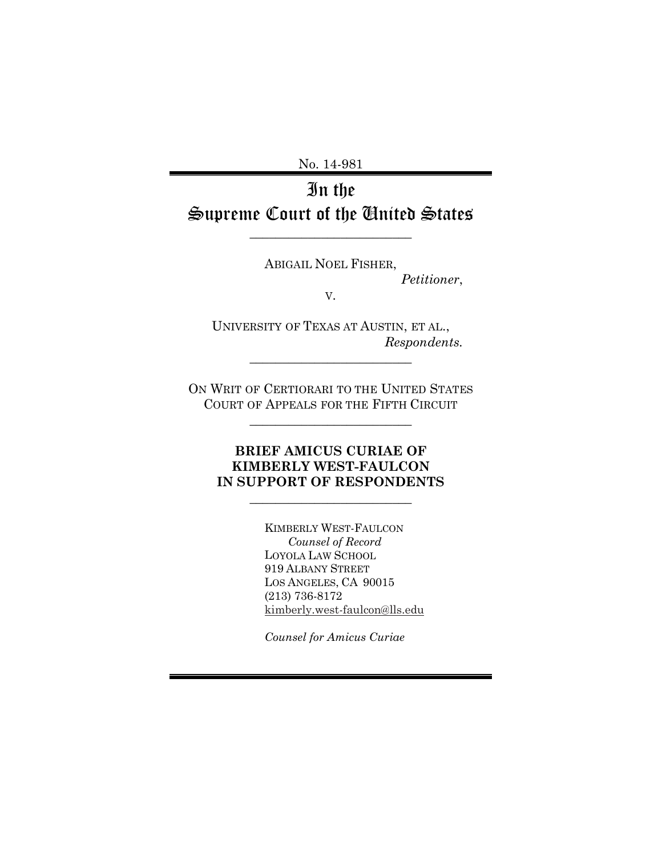No. 14-981

# In the Supreme Court of the United States

 $\overline{\phantom{a}}$  , where  $\overline{\phantom{a}}$  , where  $\overline{\phantom{a}}$  , where  $\overline{\phantom{a}}$  , where  $\overline{\phantom{a}}$ 

ABIGAIL NOEL FISHER,

*Petitioner*,

V.

UNIVERSITY OF TEXAS AT AUSTIN, ET AL., *Respondents.*

 $\overline{\phantom{a}}$  , where  $\overline{\phantom{a}}$  , where  $\overline{\phantom{a}}$  , where  $\overline{\phantom{a}}$  , where  $\overline{\phantom{a}}$ 

ON WRIT OF CERTIORARI TO THE UNITED STATES COURT OF APPEALS FOR THE FIFTH CIRCUIT

 $\overline{\phantom{a}}$  , where  $\overline{\phantom{a}}$  , where  $\overline{\phantom{a}}$  , where  $\overline{\phantom{a}}$  , where  $\overline{\phantom{a}}$ 

## **BRIEF AMICUS CURIAE OF KIMBERLY WEST-FAULCON IN SUPPORT OF RESPONDENTS**

 $\overline{\phantom{a}}$  , where  $\overline{\phantom{a}}$  , where  $\overline{\phantom{a}}$  , where  $\overline{\phantom{a}}$  , where  $\overline{\phantom{a}}$ 

KIMBERLY WEST-FAULCON *Counsel of Record* LOYOLA LAW SCHOOL 919 ALBANY STREET LOS ANGELES, CA 90015 (213) 736-8172 [kimberly.west-faulcon@lls.edu](mailto:kimberly.west-faulcon@lls.edu) 

*Counsel for Amicus Curiae*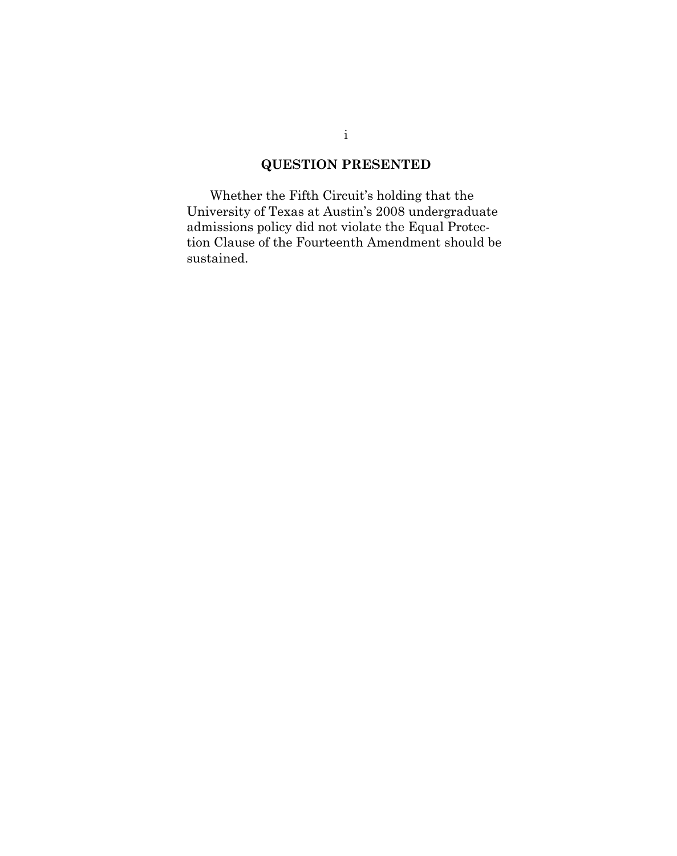## **QUESTION PRESENTED**

Whether the Fifth Circuit's holding that the University of Texas at Austin's 2008 undergraduate admissions policy did not violate the Equal Protection Clause of the Fourteenth Amendment should be sustained.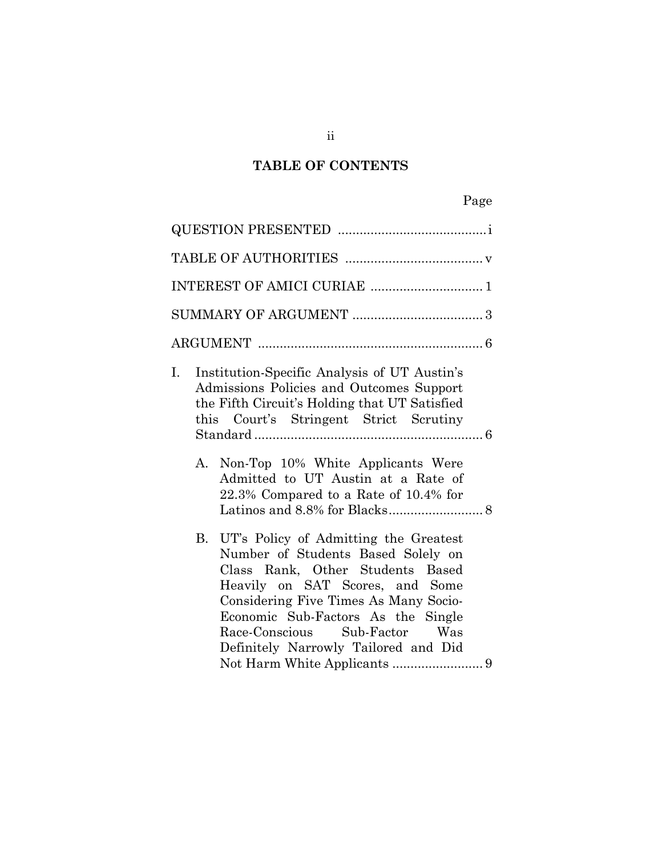# **TABLE OF CONTENTS**

| Institution-Specific Analysis of UT Austin's<br>Ι.<br>Admissions Policies and Outcomes Support<br>the Fifth Circuit's Holding that UT Satisfied<br>this Court's Stringent Strict Scrutiny                                                                                                                        |
|------------------------------------------------------------------------------------------------------------------------------------------------------------------------------------------------------------------------------------------------------------------------------------------------------------------|
| Non-Top 10% White Applicants Were<br>А.<br>Admitted to UT Austin at a Rate of<br>22.3% Compared to a Rate of 10.4% for                                                                                                                                                                                           |
| B.<br>UT's Policy of Admitting the Greatest<br>Number of Students Based Solely on<br>Class Rank, Other Students Based<br>Heavily on SAT Scores, and Some<br>Considering Five Times As Many Socio-<br>Economic Sub-Factors As the Single<br>Race-Conscious Sub-Factor Was<br>Definitely Narrowly Tailored and Did |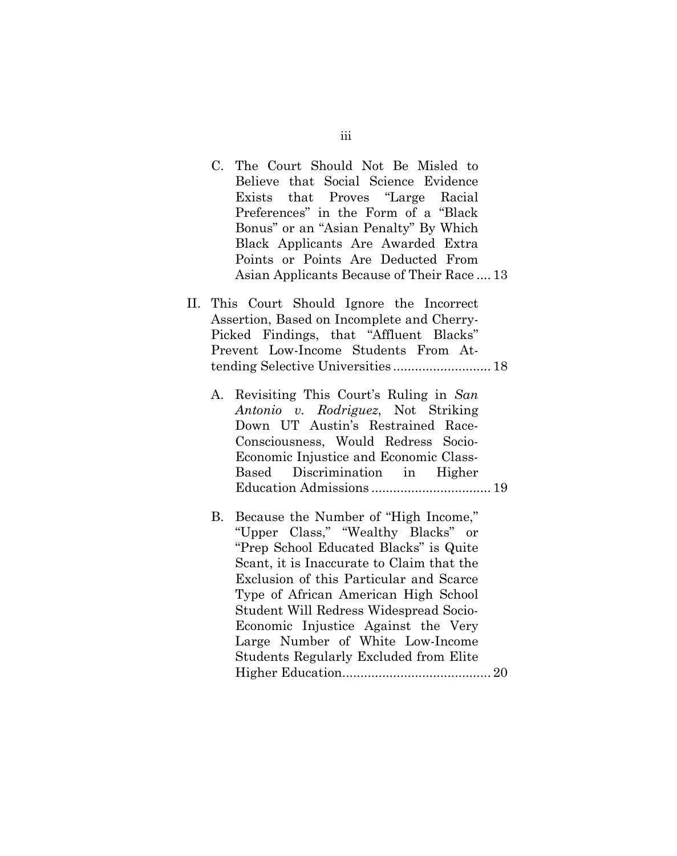C. The Court Should Not Be Misled to Believe that Social Science Evidence Exists that Proves "Large Racial Preferences" in the Form of a "Black Bonus" or an "Asian Penalty" By Which Black Applicants Are Awarded Extra Points or Points Are Deducted From Asian Applicants Because of Their Race .... 13 II. This Court Should Ignore the Incorrect Assertion, Based on Incomplete and Cherry-Picked Findings, that "Affluent Blacks" Prevent Low-Income Students From Attending Selective Universities ........................... 18 A. Revisiting This Court's Ruling in *San Antonio v. Rodriguez*, Not Striking Down UT Austin's Restrained Race-Consciousness, Would Redress Socio-Economic Injustice and Economic Class-Based Discrimination in Higher Education Admissions ................................. 19 B. Because the Number of "High Income," "Upper Class," "Wealthy Blacks" or "Prep School Educated Blacks" is Quite Scant, it is Inaccurate to Claim that the Exclusion of this Particular and Scarce Type of African American High School Student Will Redress Widespread Socio-Economic Injustice Against the Very Large Number of White Low-Income Students Regularly Excluded from Elite

Higher Education......................................... 20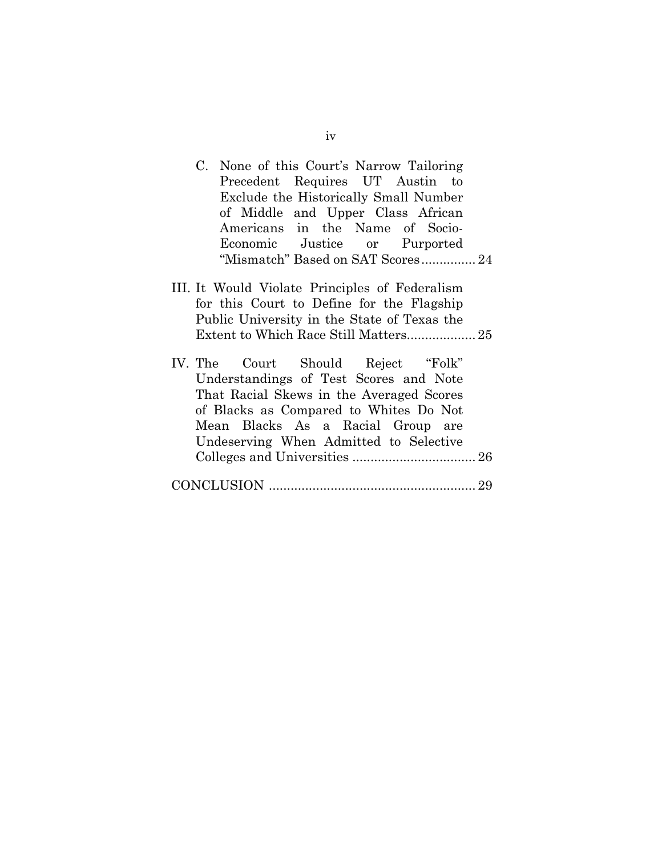| C. None of this Court's Narrow Tailoring                                                                                                                                                                                                          |
|---------------------------------------------------------------------------------------------------------------------------------------------------------------------------------------------------------------------------------------------------|
| Precedent Requires UT Austin to                                                                                                                                                                                                                   |
| Exclude the Historically Small Number                                                                                                                                                                                                             |
| of Middle and Upper Class African                                                                                                                                                                                                                 |
| Americans in the Name of Socio-                                                                                                                                                                                                                   |
| Economic Justice or Purported                                                                                                                                                                                                                     |
| "Mismatch" Based on SAT Scores 24                                                                                                                                                                                                                 |
| III. It Would Violate Principles of Federalism<br>for this Court to Define for the Flagship<br>Public University in the State of Texas the                                                                                                        |
| IV. The Court Should Reject "Folk"<br>Understandings of Test Scores and Note<br>That Racial Skews in the Averaged Scores<br>of Blacks as Compared to Whites Do Not<br>Mean Blacks As a Racial Group are<br>Undeserving When Admitted to Selective |
|                                                                                                                                                                                                                                                   |

iv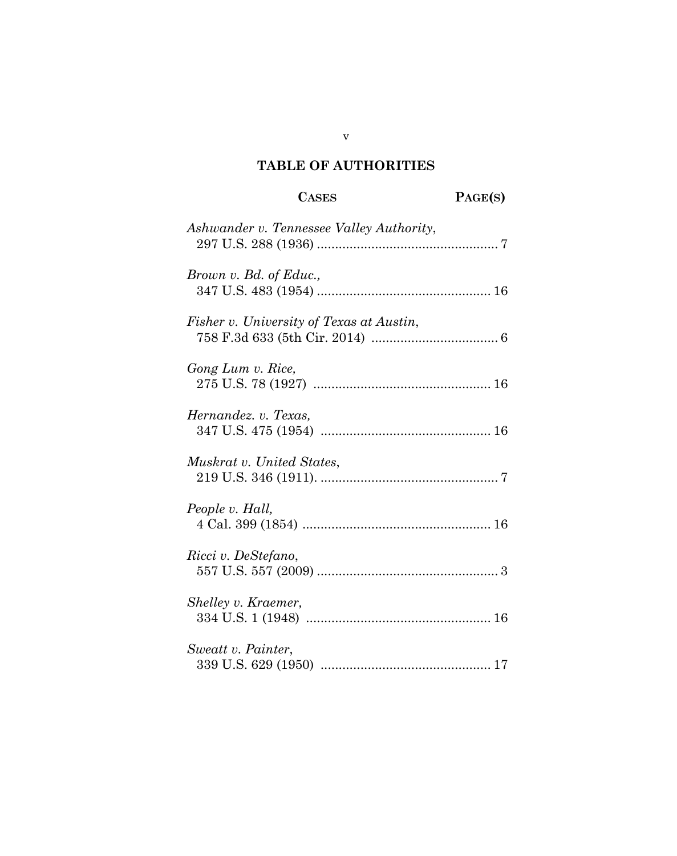# **TABLE OF AUTHORITIES**

| <b>CASES</b>                             | PAGE(S) |
|------------------------------------------|---------|
| Ashwander v. Tennessee Valley Authority, |         |
| Brown v. Bd. of Educ.,                   |         |
| Fisher v. University of Texas at Austin, |         |
| Gong Lum v. Rice,                        |         |
| Hernandez. v. Texas,                     |         |
| Muskrat v. United States,                |         |
| People v. Hall,                          |         |
| Ricci v. DeStefano,                      |         |
| Shelley v. Kraemer,                      |         |
| Sweatt v. Painter,                       |         |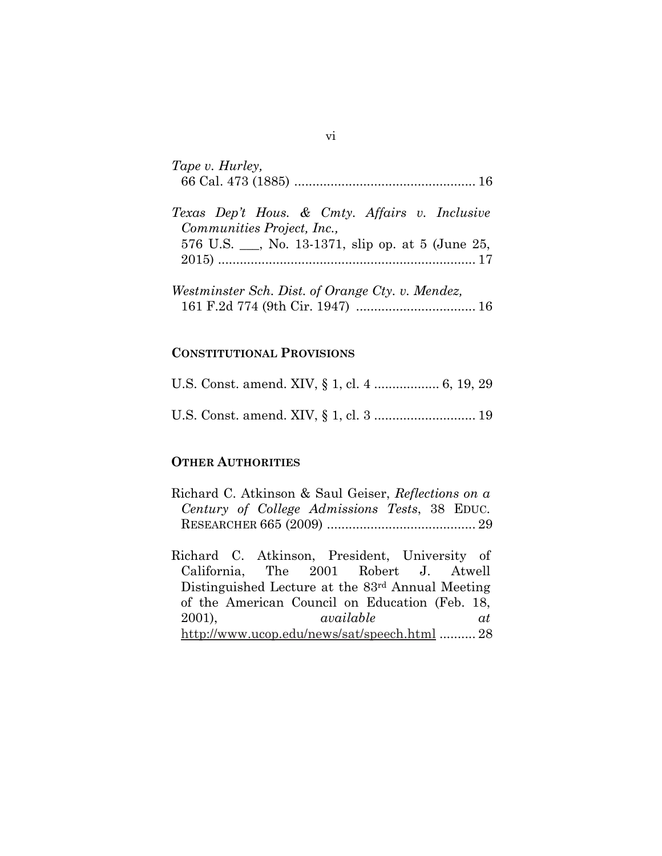| Tape v. Hurley,                                                                                                                   |
|-----------------------------------------------------------------------------------------------------------------------------------|
| Texas Dep't Hous. & Cmty. Affairs v. Inclusive<br>Communities Project, Inc.,<br>576 U.S. __, No. 13-1371, slip op. at 5 (June 25, |
| Westminster Sch. Dist. of Orange Cty. v. Mendez,                                                                                  |

#### **CONSTITUTIONAL PROVISIONS**

#### **OTHER AUTHORITIES**

|  | Richard C. Atkinson & Saul Geiser, Reflections on a |  |  |
|--|-----------------------------------------------------|--|--|
|  | Century of College Admissions Tests, 38 EDUC.       |  |  |
|  |                                                     |  |  |

Richard C. Atkinson, President, University of California, The 2001 Robert J. Atwell Distinguished Lecture at the 83rd Annual Meeting of the American Council on Education (Feb. 18, 2001), *available at*  <http://www.ucop.edu/news/sat/speech.html> .......... 28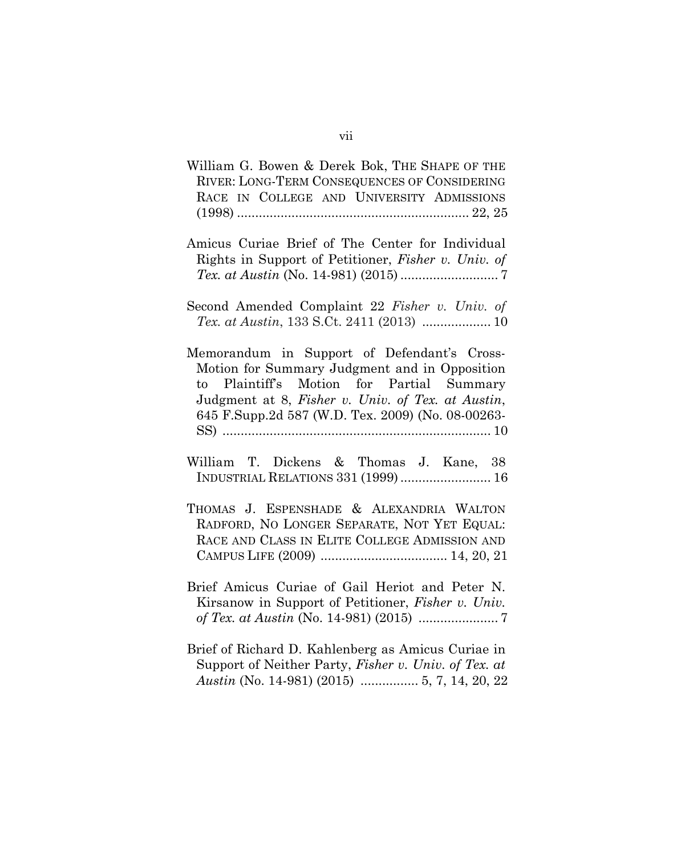- William G. Bowen & Derek Bok, THE SHAPE OF THE RIVER: LONG-TERM CONSEQUENCES OF CONSIDERING RACE IN COLLEGE AND UNIVERSITY ADMISSIONS (1998) ................................................................ 22, 25
- Amicus Curiae Brief of The Center for Individual Rights in Support of Petitioner, *Fisher v. Univ. of Tex. at Austin* (No. 14-981) (2015) ........................... 7
- Second Amended Complaint 22 *Fisher v. Univ. of Tex. at Austin*, 133 S.Ct. 2411 (2013) ................... 10
- Memorandum in Support of Defendant's Cross-Motion for Summary Judgment and in Opposition to Plaintiff's Motion for Partial Summary Judgment at 8, *Fisher v. Univ. of Tex. at Austin*, 645 F.Supp.2d 587 (W.D. Tex. 2009) (No. 08-00263- SS) .......................................................................... 10
- William T. Dickens & Thomas J. Kane, 38 INDUSTRIAL RELATIONS 331 (1999)......................... 16
- THOMAS J. ESPENSHADE & ALEXANDRIA WALTON RADFORD, NO LONGER SEPARATE, NOT YET EQUAL: RACE AND CLASS IN ELITE COLLEGE ADMISSION AND CAMPUS LIFE (2009) ................................... 14, 20, 21
- Brief Amicus Curiae of Gail Heriot and Peter N. Kirsanow in Support of Petitioner, *Fisher v. Univ. of Tex. at Austin* (No. 14-981) (2015) ...................... 7
- Brief of Richard D. Kahlenberg as Amicus Curiae in Support of Neither Party, *Fisher v. Univ. of Tex. at Austin* (No. 14-981) (2015) ................ 5, 7, 14, 20, 22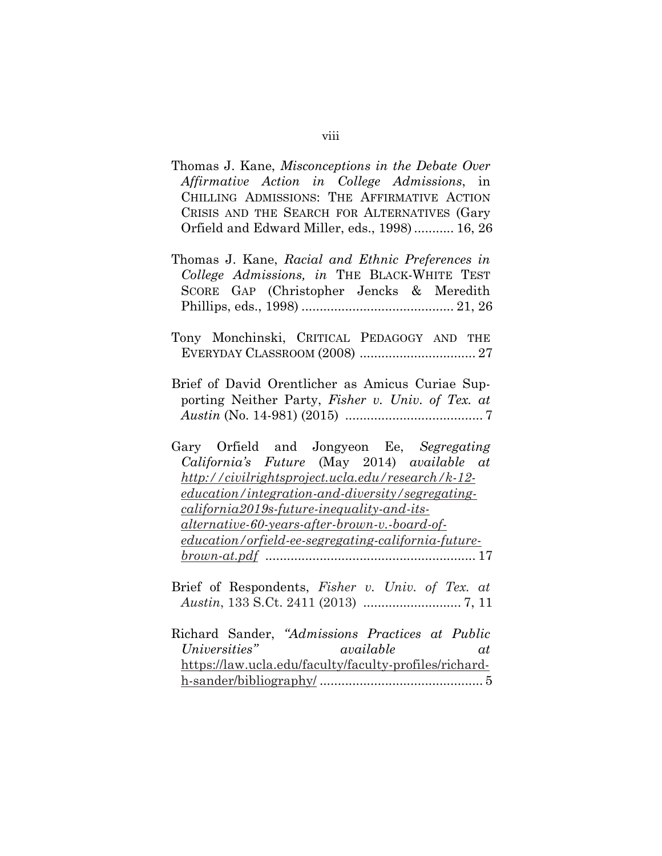| Thomas J. Kane, Misconceptions in the Debate Over<br>Affirmative Action in College Admissions, in<br>CHILLING ADMISSIONS: THE AFFIRMATIVE ACTION<br>CRISIS AND THE SEARCH FOR ALTERNATIVES (Gary<br>Orfield and Edward Miller, eds., 1998) 16, 26                                                                                                                                                              |
|----------------------------------------------------------------------------------------------------------------------------------------------------------------------------------------------------------------------------------------------------------------------------------------------------------------------------------------------------------------------------------------------------------------|
| Thomas J. Kane, Racial and Ethnic Preferences in<br>College Admissions, in THE BLACK-WHITE TEST<br>SCORE GAP (Christopher Jencks & Meredith                                                                                                                                                                                                                                                                    |
| Tony Monchinski, CRITICAL PEDAGOGY AND THE                                                                                                                                                                                                                                                                                                                                                                     |
| Brief of David Orentlicher as Amicus Curiae Sup-<br>porting Neither Party, Fisher v. Univ. of Tex. at                                                                                                                                                                                                                                                                                                          |
| Gary Orfield and Jongyeon Ee, Segregating<br>California's Future (May 2014) available at<br>http://civilrightsproject.ucla.edu/research/k-12-<br>education/integration-and-diversity/segregating-<br><i>california2019s-future-inequality-and-its-</i><br><u>alternative-60-years-after-brown-v.-board-of-</u><br><u>education/orfield-ee-segregating-california-future-</u><br>$\frac{brown\cdot at.pdf}{17}$ |
| Brief of Respondents, Fisher v. Univ. of Tex. at                                                                                                                                                                                                                                                                                                                                                               |
| Richard Sander, "Admissions Practices at Public<br>Universities"<br>available<br>at<br>https://law.ucla.edu/faculty/faculty-profiles/richard-                                                                                                                                                                                                                                                                  |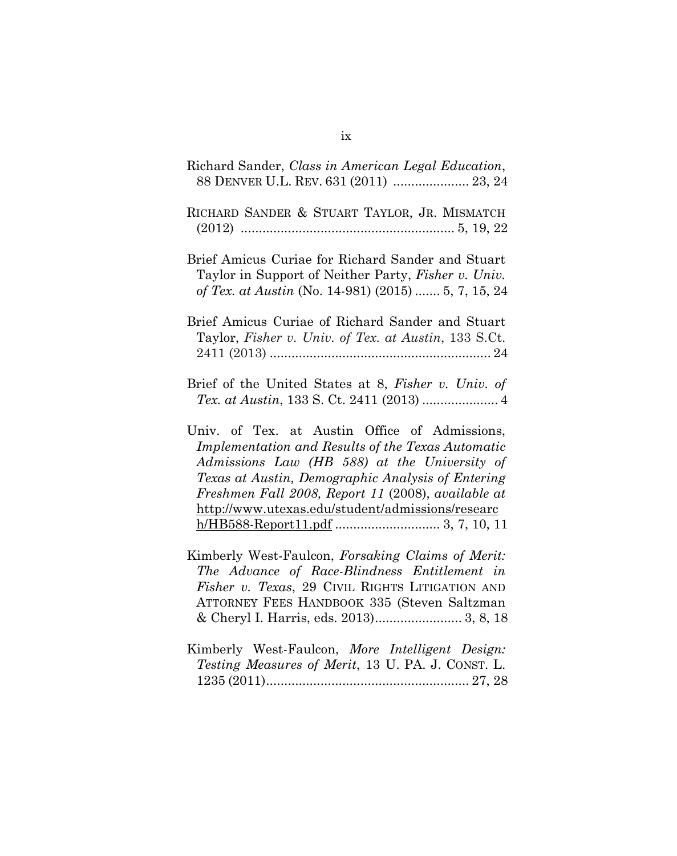| Richard Sander, Class in American Legal Education,<br>88 DENVER U.L. REV. 631 (2011)  23, 24                                                                                                                                                                                                                      |
|-------------------------------------------------------------------------------------------------------------------------------------------------------------------------------------------------------------------------------------------------------------------------------------------------------------------|
| RICHARD SANDER & STUART TAYLOR, JR. MISMATCH                                                                                                                                                                                                                                                                      |
| Brief Amicus Curiae for Richard Sander and Stuart<br>Taylor in Support of Neither Party, Fisher v. Univ.<br>of Tex. at Austin (No. 14-981) (2015)  5, 7, 15, 24                                                                                                                                                   |
| Brief Amicus Curiae of Richard Sander and Stuart<br>Taylor, Fisher v. Univ. of Tex. at Austin, 133 S.Ct.                                                                                                                                                                                                          |
| Brief of the United States at 8, Fisher v. Univ. of                                                                                                                                                                                                                                                               |
| Univ. of Tex. at Austin Office of Admissions,<br>Implementation and Results of the Texas Automatic<br>Admissions Law (HB 588) at the University of<br>Texas at Austin, Demographic Analysis of Entering<br>Freshmen Fall 2008, Report 11 (2008), available at<br>http://www.utexas.edu/student/admissions/researc |
| Kimberly West-Faulcon, Forsaking Claims of Merit:<br>The Advance of Race-Blindness Entitlement in<br>Fisher v. Texas, 29 CIVIL RIGHTS LITIGATION AND<br>ATTORNEY FEES HANDBOOK 335 (Steven Saltzman                                                                                                               |
| Kimberly West-Faulcon, More Intelligent Design:<br>Testing Measures of Merit, 13 U. PA. J. CONST. L.                                                                                                                                                                                                              |

ix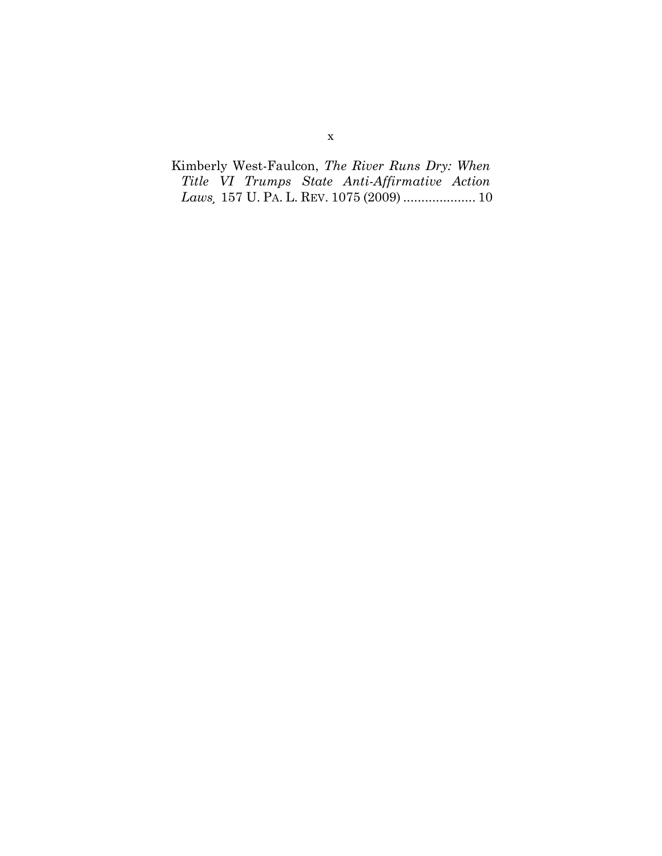Kimberly West-Faulcon, *The River Runs Dry: When Title VI Trumps State Anti-Affirmative Action Laws¸* 157 U. PA. L. REV. 1075 (2009) .................... 10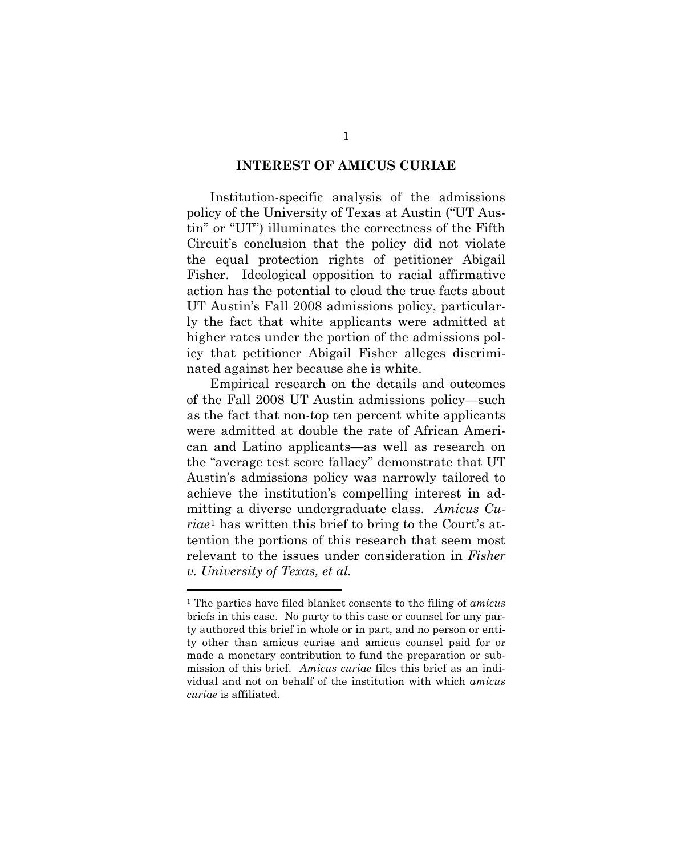#### **INTEREST OF AMICUS CURIAE**

Institution-specific analysis of the admissions policy of the University of Texas at Austin ("UT Austin" or "UT") illuminates the correctness of the Fifth Circuit's conclusion that the policy did not violate the equal protection rights of petitioner Abigail Fisher. Ideological opposition to racial affirmative action has the potential to cloud the true facts about UT Austin's Fall 2008 admissions policy, particularly the fact that white applicants were admitted at higher rates under the portion of the admissions policy that petitioner Abigail Fisher alleges discriminated against her because she is white.

Empirical research on the details and outcomes of the Fall 2008 UT Austin admissions policy—such as the fact that non-top ten percent white applicants were admitted at double the rate of African American and Latino applicants—as well as research on the "average test score fallacy" demonstrate that UT Austin's admissions policy was narrowly tailored to achieve the institution's compelling interest in admitting a diverse undergraduate class. *Amicus Curiae*[1](#page-34-0) has written this brief to bring to the Court's attention the portions of this research that seem most relevant to the issues under consideration in *Fisher v. University of Texas, et al.* 

<span id="page-11-0"></span><sup>1</sup> The parties have filed blanket consents to the filing of *amicus* briefs in this case. No party to this case or counsel for any party authored this brief in whole or in part, and no person or entity other than amicus curiae and amicus counsel paid for or made a monetary contribution to fund the preparation or submission of this brief. *Amicus curiae* files this brief as an individual and not on behalf of the institution with which *amicus curiae* is affiliated.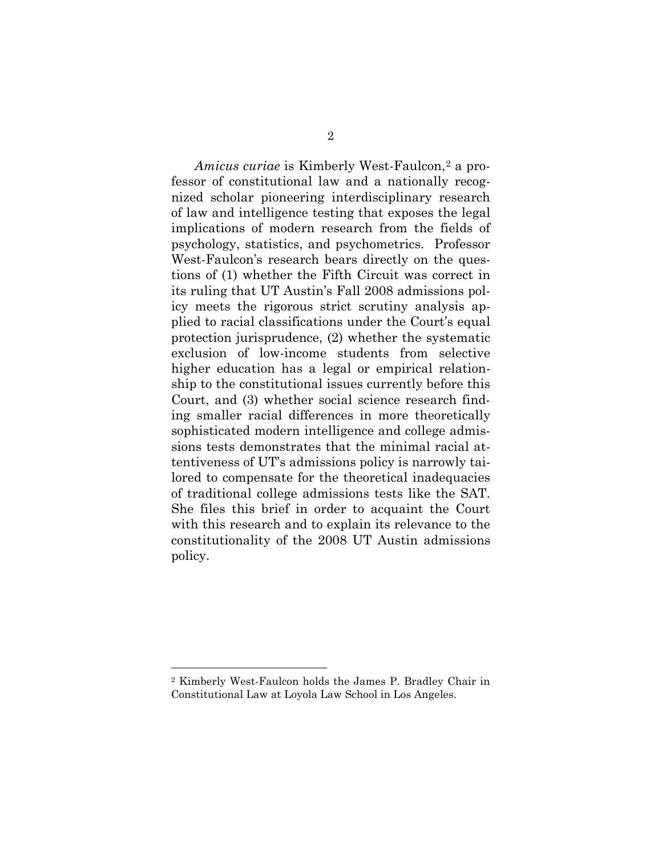*Amicus curiae* is Kimberly West-Faulcon,[2](#page-11-0) a professor of constitutional law and a nationally recognized scholar pioneering interdisciplinary research of law and intelligence testing that exposes the legal implications of modern research from the fields of psychology, statistics, and psychometrics. Professor West-Faulcon's research bears directly on the questions of (1) whether the Fifth Circuit was correct in its ruling that UT Austin's Fall 2008 admissions policy meets the rigorous strict scrutiny analysis applied to racial classifications under the Court's equal protection jurisprudence, (2) whether the systematic exclusion of low-income students from selective higher education has a legal or empirical relationship to the constitutional issues currently before this Court, and (3) whether social science research finding smaller racial differences in more theoretically sophisticated modern intelligence and college admissions tests demonstrates that the minimal racial attentiveness of UT's admissions policy is narrowly tailored to compensate for the theoretical inadequacies of traditional college admissions tests like the SAT. She files this brief in order to acquaint the Court with this research and to explain its relevance to the constitutionality of the 2008 UT Austin admissions policy.

<span id="page-12-0"></span><sup>2</sup> Kimberly West-Faulcon holds the James P. Bradley Chair in Constitutional Law at Loyola Law School in Los Angeles.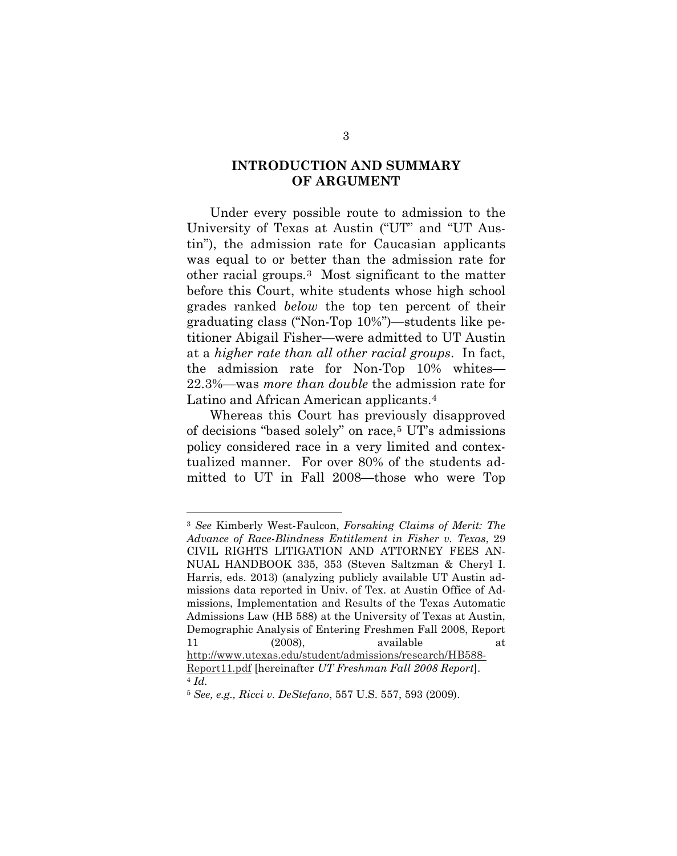#### **INTRODUCTION AND SUMMARY OF ARGUMENT**

Under every possible route to admission to the University of Texas at Austin ("UT" and "UT Austin"), the admission rate for Caucasian applicants was equal to or better than the admission rate for other racial groups.[3](#page-12-0) Most significant to the matter before this Court, white students whose high school grades ranked *below* the top ten percent of their graduating class ("Non-Top 10%")—students like petitioner Abigail Fisher—were admitted to UT Austin at a *higher rate than all other racial groups*. In fact, the admission rate for Non-Top 10% whites— 22.3%—was *more than double* the admission rate for Latino and African American applicants.[4](#page-13-0)

Whereas this Court has previously disapproved of decisions "based solely" on race,[5](#page-13-1) UT's admissions policy considered race in a very limited and contextualized manner. For over 80% of the students admitted to UT in Fall 2008—those who were Top

<sup>3</sup> *See* Kimberly West-Faulcon, *Forsaking Claims of Merit: The Advance of Race-Blindness Entitlement in Fisher v. Texas*, 29 CIVIL RIGHTS LITIGATION AND ATTORNEY FEES AN-NUAL HANDBOOK 335, 353 (Steven Saltzman & Cheryl I. Harris, eds. 2013) (analyzing publicly available UT Austin admissions data reported in Univ. of Tex. at Austin Office of Admissions, Implementation and Results of the Texas Automatic Admissions Law (HB 588) at the University of Texas at Austin, Demographic Analysis of Entering Freshmen Fall 2008, Report 11 (2008), available at [http://www.utexas.edu/student/admissions/research/HB588-](http://www.utexas.edu/student/admissions/research/HB588-Report11.pdf)

<span id="page-13-2"></span><span id="page-13-0"></span>[Report11.pdf](http://www.utexas.edu/student/admissions/research/HB588-Report11.pdf) [hereinafter *UT Freshman Fall 2008 Report*]. <sup>4</sup> *Id.*

<span id="page-13-1"></span><sup>5</sup> *See, e.g., Ricci v. DeStefano*, 557 U.S. 557, 593 (2009).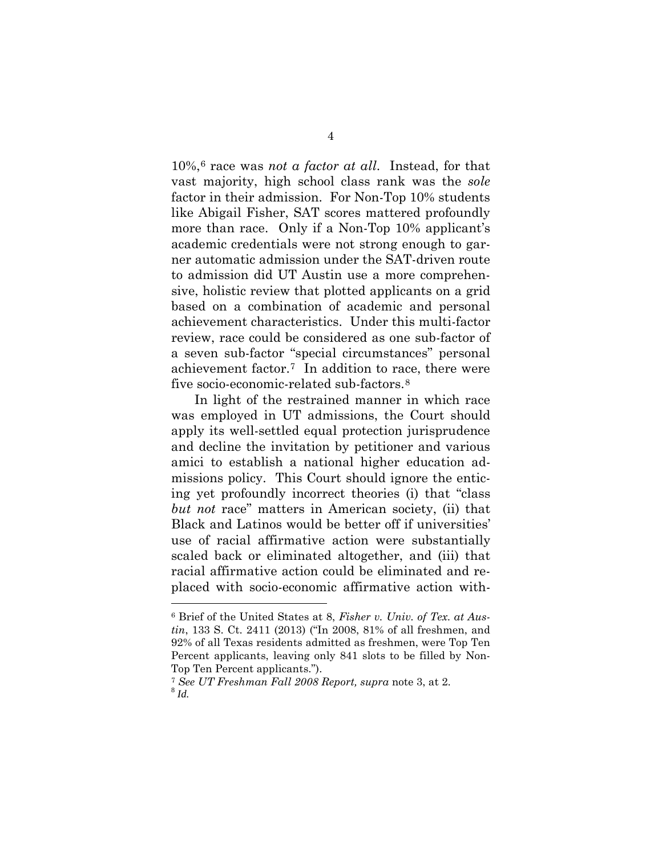10%,[6](#page-13-2) race was *not a factor at all*. Instead, for that vast majority, high school class rank was the *sole* factor in their admission. For Non-Top 10% students like Abigail Fisher, SAT scores mattered profoundly more than race. Only if a Non-Top 10% applicant's academic credentials were not strong enough to garner automatic admission under the SAT-driven route to admission did UT Austin use a more comprehensive, holistic review that plotted applicants on a grid based on a combination of academic and personal achievement characteristics. Under this multi-factor review, race could be considered as one sub-factor of a seven sub-factor "special circumstances" personal achievement factor.[7](#page-14-0) In addition to race, there were five socio-economic-related sub-factors.<sup>[8](#page-14-1)</sup>

<span id="page-14-2"></span>In light of the restrained manner in which race was employed in UT admissions, the Court should apply its well-settled equal protection jurisprudence and decline the invitation by petitioner and various amici to establish a national higher education admissions policy. This Court should ignore the enticing yet profoundly incorrect theories (i) that "class *but not* race" matters in American society, (ii) that Black and Latinos would be better off if universities' use of racial affirmative action were substantially scaled back or eliminated altogether, and (iii) that racial affirmative action could be eliminated and replaced with socio-economic affirmative action with-

<sup>6</sup> Brief of the United States at 8, *Fisher v. Univ. of Tex. at Austin*, 133 S. Ct. 2411 (2013) ("In 2008, 81% of all freshmen, and 92% of all Texas residents admitted as freshmen, were Top Ten Percent applicants, leaving only 841 slots to be filled by Non-Top Ten Percent applicants.").

<span id="page-14-1"></span><span id="page-14-0"></span><sup>7</sup> *See UT Freshman Fall 2008 Report, supra* note 3, at 2. <sup>8</sup> *Id.*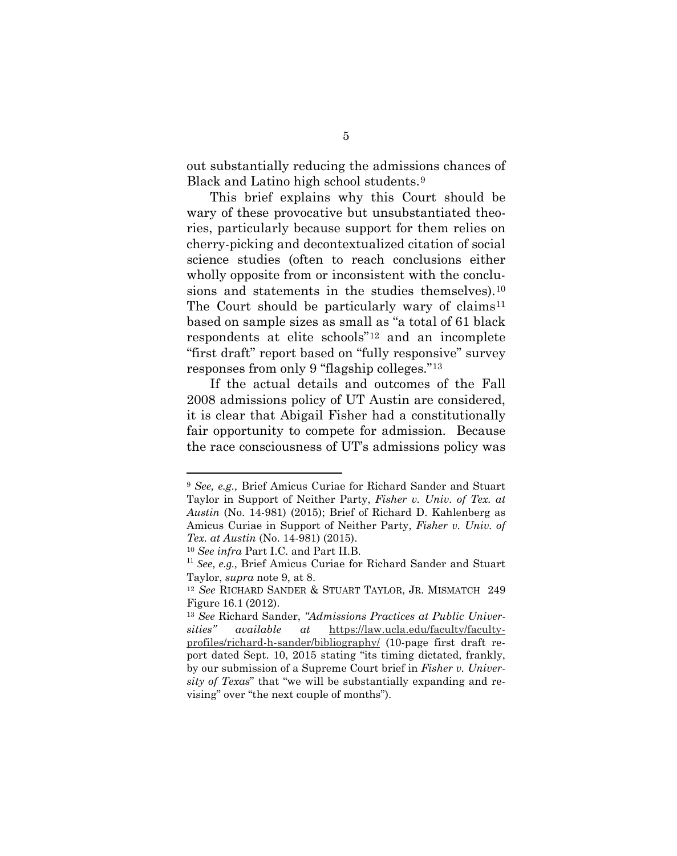out substantially reducing the admissions chances of Black and Latino high school students.[9](#page-14-2)

This brief explains why this Court should be wary of these provocative but unsubstantiated theories, particularly because support for them relies on cherry-picking and decontextualized citation of social science studies (often to reach conclusions either wholly opposite from or inconsistent with the conclu-sions and statements in the studies themselves).<sup>[10](#page-15-0)</sup> The Court should be particularly wary of claims<sup>[11](#page-15-1)</sup> based on sample sizes as small as "a total of 61 black respondents at elite schools"[12](#page-15-2) and an incomplete "first draft" report based on "fully responsive" survey responses from only 9 "flagship colleges.["13](#page-15-3)

If the actual details and outcomes of the Fall 2008 admissions policy of UT Austin are considered, it is clear that Abigail Fisher had a constitutionally fair opportunity to compete for admission. Because the race consciousness of UT's admissions policy was

<sup>9</sup> *See, e.g.,* Brief Amicus Curiae for Richard Sander and Stuart Taylor in Support of Neither Party, *Fisher v. Univ. of Tex. at Austin* (No. 14-981) (2015); Brief of Richard D. Kahlenberg as Amicus Curiae in Support of Neither Party, *Fisher v. Univ. of Tex. at Austin* (No. 14-981) (2015).

<sup>10</sup> *See infra* Part I.C. and Part II.B.

<span id="page-15-1"></span><span id="page-15-0"></span><sup>&</sup>lt;sup>11</sup> See, e.g., Brief Amicus Curiae for Richard Sander and Stuart Taylor, *supra* note 9, at 8.

<span id="page-15-2"></span><sup>12</sup> *See* RICHARD SANDER & STUART TAYLOR, JR. MISMATCH 249 Figure 16.1 (2012).

<span id="page-15-4"></span><span id="page-15-3"></span><sup>13</sup> *See* Richard Sander, *"Admissions Practices at Public Universities" available at* [https://law.ucla.edu/faculty/faculty](https://law.ucla.edu/faculty/faculty-profiles/richard-h-sander/bibliography/)[profiles/richard-h-sander/bibliography/](https://law.ucla.edu/faculty/faculty-profiles/richard-h-sander/bibliography/) (10-page first draft report dated Sept. 10, 2015 stating "its timing dictated, frankly, by our submission of a Supreme Court brief in *Fisher v. University of Texas*" that "we will be substantially expanding and revising" over "the next couple of months").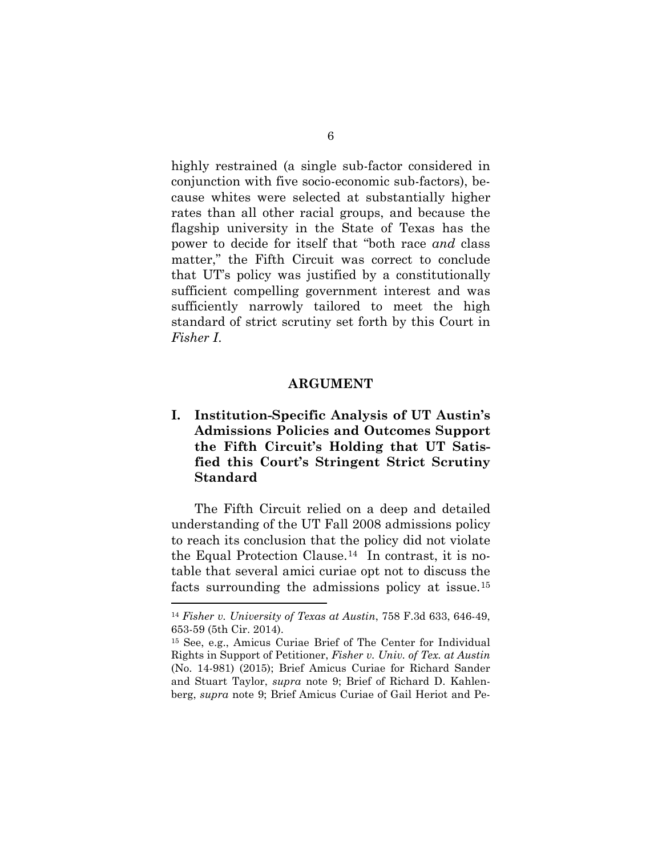highly restrained (a single sub-factor considered in conjunction with five socio-economic sub-factors), because whites were selected at substantially higher rates than all other racial groups, and because the flagship university in the State of Texas has the power to decide for itself that "both race *and* class matter," the Fifth Circuit was correct to conclude that UT's policy was justified by a constitutionally sufficient compelling government interest and was sufficiently narrowly tailored to meet the high standard of strict scrutiny set forth by this Court in *Fisher I*.

#### **ARGUMENT**

**I. Institution-Specific Analysis of UT Austin's Admissions Policies and Outcomes Support the Fifth Circuit's Holding that UT Satisfied this Court's Stringent Strict Scrutiny Standard**

The Fifth Circuit relied on a deep and detailed understanding of the UT Fall 2008 admissions policy to reach its conclusion that the policy did not violate the Equal Protection Clause.[14](#page-15-4) In contrast, it is notable that several amici curiae opt not to discuss the facts surrounding the admissions policy at issue.[15](#page-16-0) 

<sup>14</sup> *Fisher v. University of Texas at Austin*, 758 F.3d 633, 646-49, 653-59 (5th Cir. 2014).

<span id="page-16-1"></span><span id="page-16-0"></span><sup>15</sup> See, e.g., Amicus Curiae Brief of The Center for Individual Rights in Support of Petitioner, *Fisher v. Univ. of Tex. at Austin*  (No. 14-981) (2015); Brief Amicus Curiae for Richard Sander and Stuart Taylor, *supra* note 9; Brief of Richard D. Kahlenberg, *supra* note 9; Brief Amicus Curiae of Gail Heriot and Pe-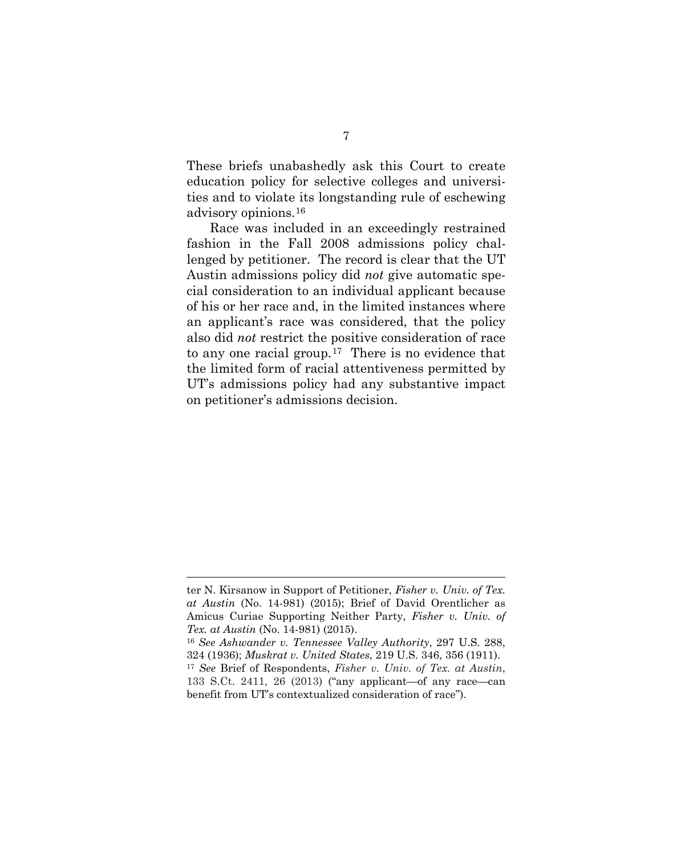These briefs unabashedly ask this Court to create education policy for selective colleges and universities and to violate its longstanding rule of eschewing advisory opinions.[16](#page-16-1) 

Race was included in an exceedingly restrained fashion in the Fall 2008 admissions policy challenged by petitioner. The record is clear that the UT Austin admissions policy did *not* give automatic special consideration to an individual applicant because of his or her race and, in the limited instances where an applicant's race was considered, that the policy also did *not* restrict the positive consideration of race to any one racial group.[17](#page-17-0) There is no evidence that the limited form of racial attentiveness permitted by UT's admissions policy had any substantive impact on petitioner's admissions decision.

<span id="page-17-1"></span>ter N. Kirsanow in Support of Petitioner, *Fisher v. Univ. of Tex. at Austin* (No. 14-981) (2015); Brief of David Orentlicher as Amicus Curiae Supporting Neither Party, *Fisher v. Univ. of Tex. at Austin* (No. 14-981) (2015).

<span id="page-17-0"></span><sup>16</sup> *See Ashwander v. Tennessee Valley Authority*, 297 U.S. 288, 324 (1936); *Muskrat v. United States*, 219 U.S. 346, 356 (1911). <sup>17</sup> *See* Brief of Respondents, *Fisher v. Univ. of Tex. at Austin*, 133 S.Ct. 2411, 26 (2013) ("any applicant—of any race—can benefit from UT's contextualized consideration of race").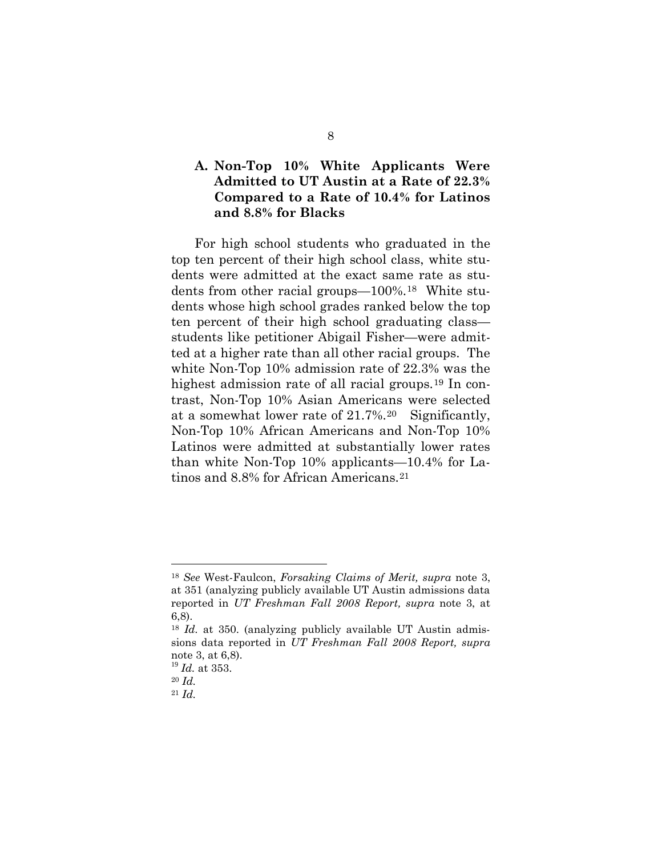#### **A. Non-Top 10% White Applicants Were Admitted to UT Austin at a Rate of 22.3% Compared to a Rate of 10.4% for Latinos and 8.8% for Blacks**

For high school students who graduated in the top ten percent of their high school class, white students were admitted at the exact same rate as students from other racial groups—100%.[18](#page-17-1) White students whose high school grades ranked below the top ten percent of their high school graduating class students like petitioner Abigail Fisher—were admitted at a higher rate than all other racial groups. The white Non-Top 10% admission rate of 22.3% was the highest admission rate of all racial groups.<sup>[19](#page-18-0)</sup> In contrast, Non-Top 10% Asian Americans were selected at a somewhat lower rate of 21.7%.[20](#page-18-1) Significantly, Non-Top 10% African Americans and Non-Top 10% Latinos were admitted at substantially lower rates than white Non-Top 10% applicants—10.4% for Latinos and 8.8% for African Americans.[21](#page-18-2)

<sup>18</sup> *See* West-Faulcon, *Forsaking Claims of Merit, supra* note 3, at 351 (analyzing publicly available UT Austin admissions data reported in *UT Freshman Fall 2008 Report, supra* note 3, at 6,8).

<sup>&</sup>lt;sup>18</sup> *Id.* at 350. (analyzing publicly available UT Austin admissions data reported in *UT Freshman Fall 2008 Report, supra*  note 3, at 6,8).

<sup>19</sup> *Id.* at 353.

<span id="page-18-3"></span><span id="page-18-2"></span><span id="page-18-1"></span><span id="page-18-0"></span><sup>20</sup> *Id.*

<sup>21</sup> *Id.*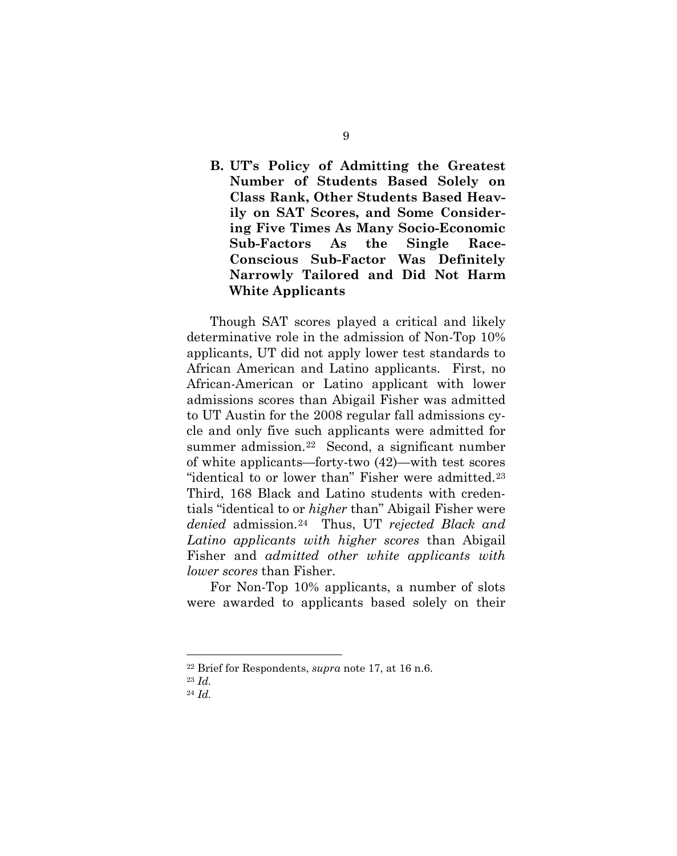## **B. UT's Policy of Admitting the Greatest Number of Students Based Solely on Class Rank, Other Students Based Heavily on SAT Scores, and Some Considering Five Times As Many Socio-Economic Sub-Factors As the Single Race-Conscious Sub-Factor Was Definitely Narrowly Tailored and Did Not Harm White Applicants**

Though SAT scores played a critical and likely determinative role in the admission of Non-Top 10% applicants, UT did not apply lower test standards to African American and Latino applicants. First, no African-American or Latino applicant with lower admissions scores than Abigail Fisher was admitted to UT Austin for the 2008 regular fall admissions cycle and only five such applicants were admitted for summer admission.[22](#page-18-3) Second, a significant number of white applicants—forty-two (42)—with test scores "identical to or lower than" Fisher were admitted.[23](#page-19-0) Third, 168 Black and Latino students with credentials "identical to or *higher* than" Abigail Fisher were *denied* admission.[24](#page-19-1) Thus, UT *rejected Black and Latino applicants with higher scores* than Abigail Fisher and *admitted other white applicants with lower scores* than Fisher.

<span id="page-19-2"></span>For Non-Top 10% applicants, a number of slots were awarded to applicants based solely on their

<sup>22</sup> Brief for Respondents, *supra* note 17, at 16 n.6.

<span id="page-19-1"></span><span id="page-19-0"></span><sup>23</sup> *Id.*

<sup>24</sup> *Id.*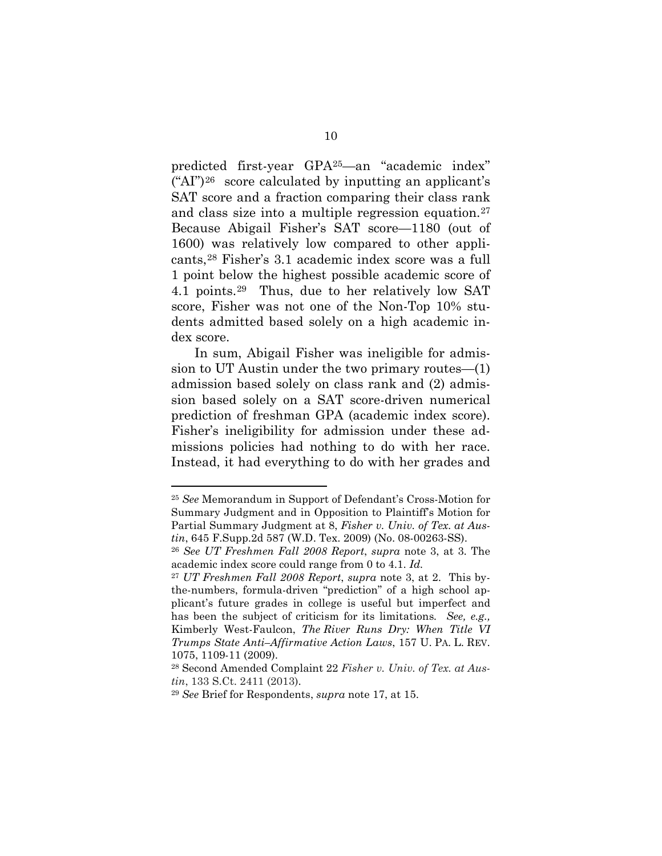predicted first-year GPA[25—](#page-19-2)an "academic index" ("AI")[26](#page-20-0) score calculated by inputting an applicant's SAT score and a fraction comparing their class rank and class size into a multiple regression equation.[27](#page-20-1)  Because Abigail Fisher's SAT score—1180 (out of 1600) was relatively low compared to other applicants,[28](#page-20-2) Fisher's 3.1 academic index score was a full 1 point below the highest possible academic score of 4.1 points.[29](#page-20-3) Thus, due to her relatively low SAT score, Fisher was not one of the Non-Top 10% students admitted based solely on a high academic index score.

In sum, Abigail Fisher was ineligible for admission to UT Austin under the two primary routes—(1) admission based solely on class rank and (2) admission based solely on a SAT score-driven numerical prediction of freshman GPA (academic index score). Fisher's ineligibility for admission under these admissions policies had nothing to do with her race. Instead, it had everything to do with her grades and

<span id="page-20-4"></span><sup>25</sup> *See* Memorandum in Support of Defendant's Cross-Motion for Summary Judgment and in Opposition to Plaintiff's Motion for Partial Summary Judgment at 8, *Fisher v. Univ. of Tex. at Austin*, 645 F.Supp.2d 587 (W.D. Tex. 2009) (No. 08-00263-SS).

<span id="page-20-0"></span><sup>26</sup> *See UT Freshmen Fall 2008 Report*, *supra* note 3, at 3. The academic index score could range from 0 to 4.1. *Id.*

<span id="page-20-1"></span><sup>27</sup> *UT Freshmen Fall 2008 Report*, *supra* note 3, at 2. This bythe-numbers, formula-driven "prediction" of a high school applicant's future grades in college is useful but imperfect and has been the subject of criticism for its limitations*. See, e.g.,*  Kimberly West-Faulcon, *The River Runs Dry: When Title VI Trumps State Anti–Affirmative Action Laws*, 157 U. PA. L. REV. 1075, 1109-11 (2009).

<span id="page-20-2"></span><sup>28</sup> Second Amended Complaint 22 *Fisher v. Univ. of Tex. at Aus-*

<span id="page-20-3"></span>*tin*, 133 S.Ct. 2411 (2013). 29 *See* Brief for Respondents, *supra* note 17, at 15.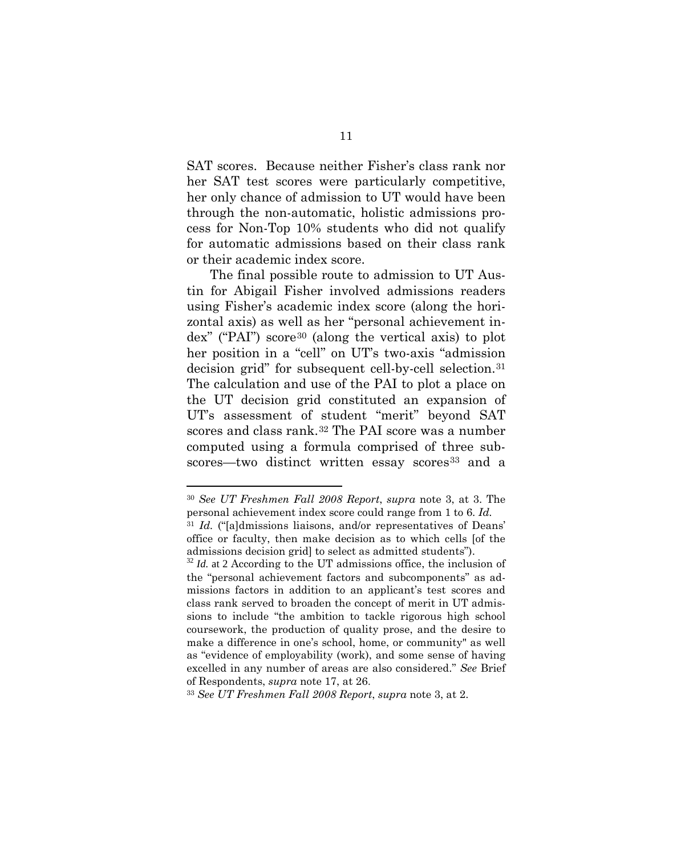SAT scores. Because neither Fisher's class rank nor her SAT test scores were particularly competitive, her only chance of admission to UT would have been through the non-automatic, holistic admissions process for Non-Top 10% students who did not qualify for automatic admissions based on their class rank or their academic index score.

The final possible route to admission to UT Austin for Abigail Fisher involved admissions readers using Fisher's academic index score (along the horizontal axis) as well as her "personal achievement index" ("PAI") score[30](#page-20-4) (along the vertical axis) to plot her position in a "cell" on UT's two-axis "admission decision grid" for subsequent cell-by-cell selection.[31](#page-21-0) The calculation and use of the PAI to plot a place on the UT decision grid constituted an expansion of UT's assessment of student "merit" beyond SAT scores and class rank.<sup>[32](#page-21-1)</sup> The PAI score was a number computed using a formula comprised of three sub-scores—two distinct written essay scores<sup>[33](#page-21-2)</sup> and a

 $\overline{a}$ 

<span id="page-21-3"></span><span id="page-21-2"></span><sup>33</sup> *See UT Freshmen Fall 2008 Report*, *supra* note 3, at 2.

<sup>30</sup> *See UT Freshmen Fall 2008 Report*, *supra* note 3, at 3. The personal achievement index score could range from 1 to 6. *Id.*

<span id="page-21-0"></span><sup>31</sup> *Id.* ("[a]dmissions liaisons, and/or representatives of Deans' office or faculty, then make decision as to which cells [of the admissions decision grid] to select as admitted students").

<span id="page-21-1"></span><sup>&</sup>lt;sup>32</sup> *Id.* at 2 According to the UT admissions office, the inclusion of the "personal achievement factors and subcomponents" as admissions factors in addition to an applicant's test scores and class rank served to broaden the concept of merit in UT admissions to include "the ambition to tackle rigorous high school coursework, the production of quality prose, and the desire to make a difference in one's school, home, or community" as well as "evidence of employability (work), and some sense of having excelled in any number of areas are also considered." *See* Brief of Respondents, *supra* note 17, at 26.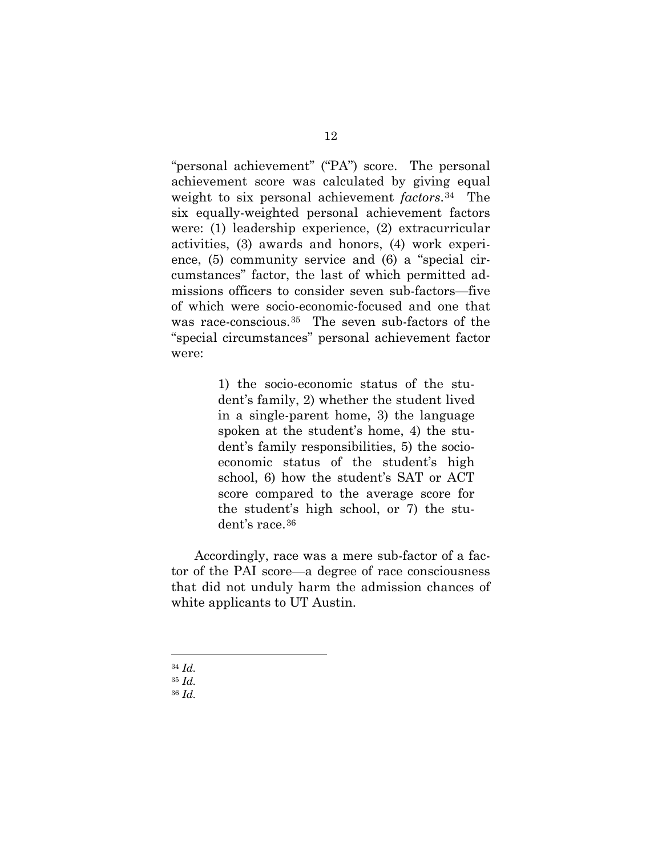"personal achievement" ("PA") score. The personal achievement score was calculated by giving equal weight to six personal achievement *factors*.[34](#page-21-3) The six equally-weighted personal achievement factors were: (1) leadership experience, (2) extracurricular activities, (3) awards and honors, (4) work experience, (5) community service and (6) a "special circumstances" factor, the last of which permitted admissions officers to consider seven sub-factors—five of which were socio-economic-focused and one that was race-conscious.<sup>35</sup> The seven sub-factors of the "special circumstances" personal achievement factor were:

> 1) the socio-economic status of the student's family, 2) whether the student lived in a single-parent home, 3) the language spoken at the student's home, 4) the student's family responsibilities, 5) the socioeconomic status of the student's high school, 6) how the student's SAT or ACT score compared to the average score for the student's high school, or 7) the student's race.[36](#page-22-1)

<span id="page-22-2"></span>Accordingly, race was a mere sub-factor of a factor of the PAI score—a degree of race consciousness that did not unduly harm the admission chances of white applicants to UT Austin.

<sup>34</sup> *Id.* 

<span id="page-22-1"></span><span id="page-22-0"></span><sup>35</sup> *Id.*

<sup>36</sup> *Id.*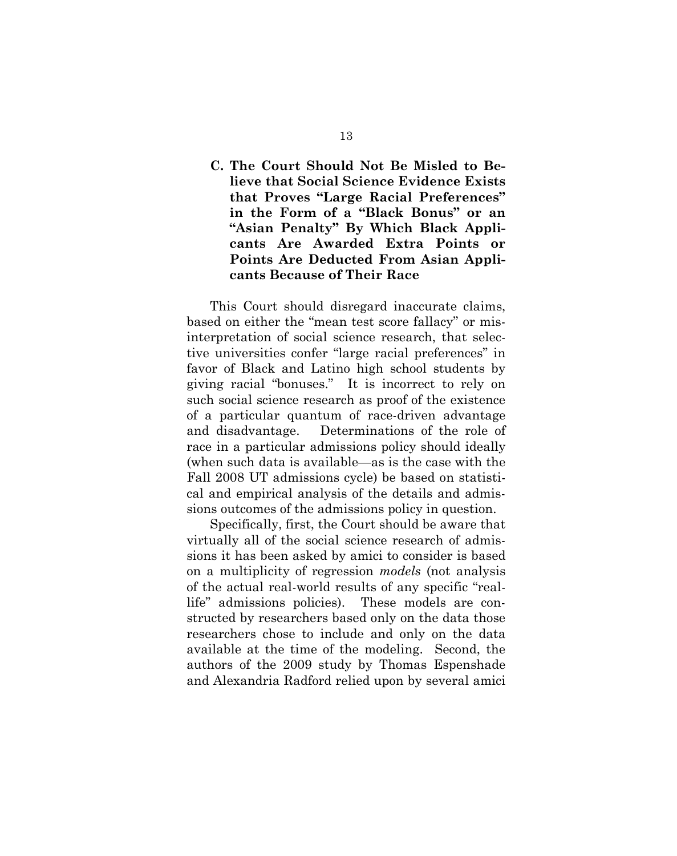## **C. The Court Should Not Be Misled to Believe that Social Science Evidence Exists that Proves "Large Racial Preferences" in the Form of a "Black Bonus" or an "Asian Penalty" By Which Black Applicants Are Awarded Extra Points or Points Are Deducted From Asian Applicants Because of Their Race**

This Court should disregard inaccurate claims, based on either the "mean test score fallacy" or misinterpretation of social science research, that selective universities confer "large racial preferences" in favor of Black and Latino high school students by giving racial "bonuses." It is incorrect to rely on such social science research as proof of the existence of a particular quantum of race-driven advantage and disadvantage. Determinations of the role of race in a particular admissions policy should ideally (when such data is available—as is the case with the Fall 2008 UT admissions cycle) be based on statistical and empirical analysis of the details and admissions outcomes of the admissions policy in question.

Specifically, first, the Court should be aware that virtually all of the social science research of admissions it has been asked by amici to consider is based on a multiplicity of regression *models* (not analysis of the actual real-world results of any specific "reallife" admissions policies). These models are constructed by researchers based only on the data those researchers chose to include and only on the data available at the time of the modeling. Second, the authors of the 2009 study by Thomas Espenshade and Alexandria Radford relied upon by several amici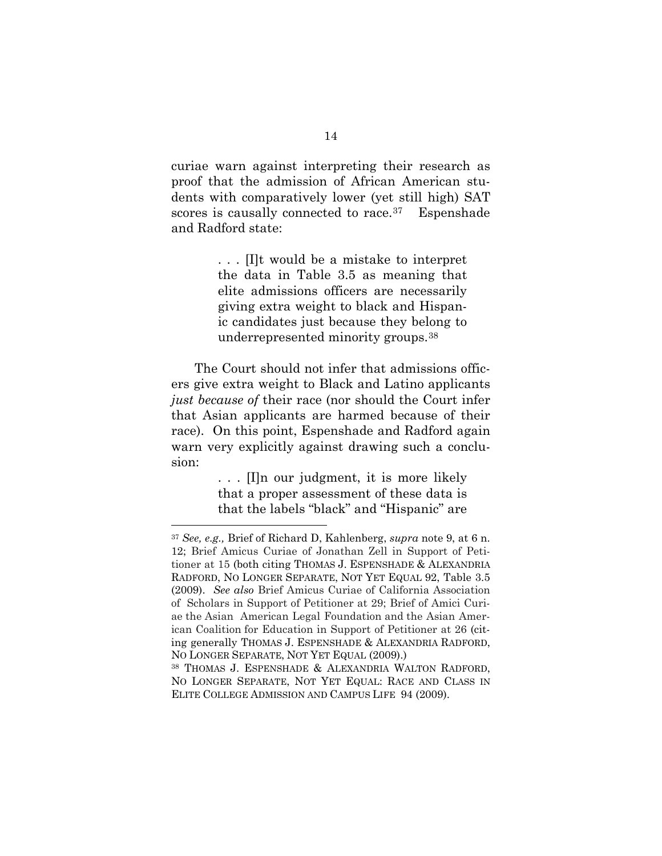curiae warn against interpreting their research as proof that the admission of African American students with comparatively lower (yet still high) SAT scores is causally connected to race.<sup>[37](#page-22-2)</sup> Espenshade and Radford state:

> . . . [I]t would be a mistake to interpret the data in Table 3.5 as meaning that elite admissions officers are necessarily giving extra weight to black and Hispanic candidates just because they belong to underrepresented minority groups.[38](#page-24-0)

The Court should not infer that admissions officers give extra weight to Black and Latino applicants *just because of* their race (nor should the Court infer that Asian applicants are harmed because of their race). On this point, Espenshade and Radford again warn very explicitly against drawing such a conclusion:

> . . . [I]n our judgment, it is more likely that a proper assessment of these data is that the labels "black" and "Hispanic" are

<sup>37</sup> *See, e.g.,* Brief of Richard D, Kahlenberg, *supra* note 9, at 6 n. 12; Brief Amicus Curiae of Jonathan Zell in Support of Petitioner at 15 (both citing THOMAS J. ESPENSHADE & ALEXANDRIA RADFORD, NO LONGER SEPARATE, NOT YET EQUAL 92, Table 3.5 (2009). *See also* Brief Amicus Curiae of California Association of Scholars in Support of Petitioner at 29; Brief of Amici Curiae the Asian American Legal Foundation and the Asian American Coalition for Education in Support of Petitioner at 26 (citing generally THOMAS J. ESPENSHADE & ALEXANDRIA RADFORD, NO LONGER SEPARATE, NOT YET EQUAL (2009).)

<span id="page-24-1"></span><span id="page-24-0"></span><sup>38</sup> THOMAS J. ESPENSHADE & ALEXANDRIA WALTON RADFORD, NO LONGER SEPARATE, NOT YET EQUAL: RACE AND CLASS IN ELITE COLLEGE ADMISSION AND CAMPUS LIFE 94 (2009).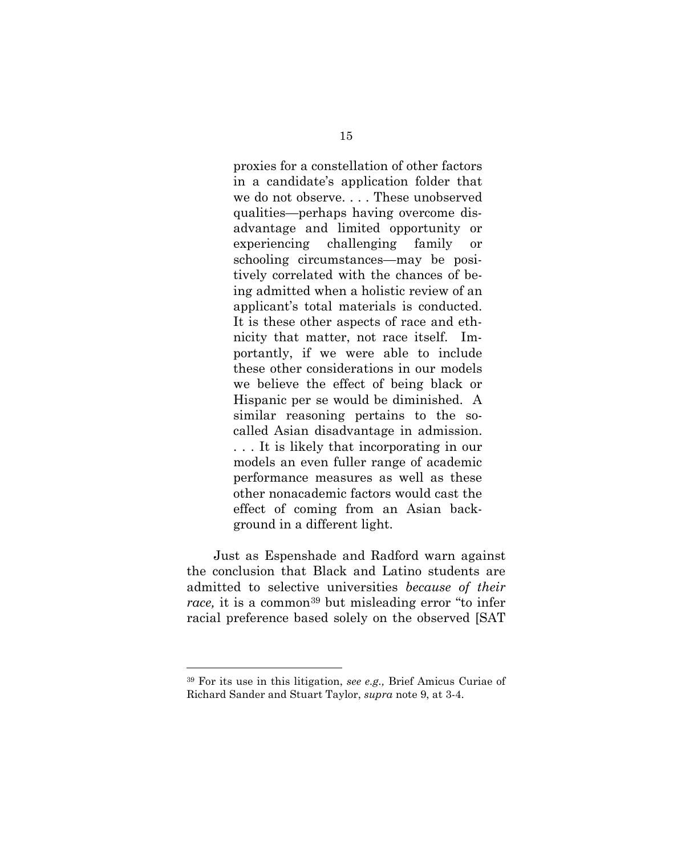proxies for a constellation of other factors in a candidate's application folder that we do not observe. . . . These unobserved qualities—perhaps having overcome disadvantage and limited opportunity or experiencing challenging family or schooling circumstances—may be positively correlated with the chances of being admitted when a holistic review of an applicant's total materials is conducted. It is these other aspects of race and ethnicity that matter, not race itself. Importantly, if we were able to include these other considerations in our models we believe the effect of being black or Hispanic per se would be diminished. A similar reasoning pertains to the socalled Asian disadvantage in admission. . . . It is likely that incorporating in our models an even fuller range of academic performance measures as well as these other nonacademic factors would cast the effect of coming from an Asian background in a different light.

<span id="page-25-0"></span>Just as Espenshade and Radford warn against the conclusion that Black and Latino students are admitted to selective universities *because of their race*, it is a common<sup>[39](#page-24-1)</sup> but misleading error "to infer racial preference based solely on the observed [SAT

<sup>39</sup> For its use in this litigation, *see e.g.,* Brief Amicus Curiae of Richard Sander and Stuart Taylor, *supra* note 9, at 3-4.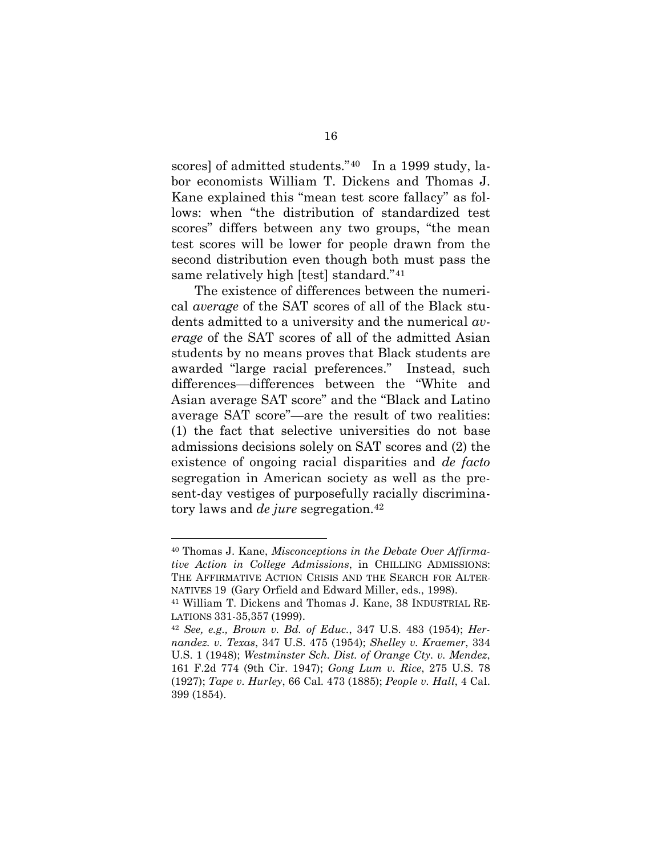scores] of admitted students."[40](#page-25-0) In a 1999 study, labor economists William T. Dickens and Thomas J. Kane explained this "mean test score fallacy" as follows: when "the distribution of standardized test scores" differs between any two groups, "the mean test scores will be lower for people drawn from the second distribution even though both must pass the same relatively high [test] standard."[41](#page-26-0) 

The existence of differences between the numerical *average* of the SAT scores of all of the Black students admitted to a university and the numerical *average* of the SAT scores of all of the admitted Asian students by no means proves that Black students are awarded "large racial preferences." Instead, such differences—differences between the "White and Asian average SAT score" and the "Black and Latino average SAT score"—are the result of two realities: (1) the fact that selective universities do not base admissions decisions solely on SAT scores and (2) the existence of ongoing racial disparities and *de facto*  segregation in American society as well as the present-day vestiges of purposefully racially discriminatory laws and *de jure* segregation.[42](#page-26-1)

<span id="page-26-2"></span><sup>40</sup> Thomas J. Kane, *Misconceptions in the Debate Over Affirmative Action in College Admissions*, in CHILLING ADMISSIONS: THE AFFIRMATIVE ACTION CRISIS AND THE SEARCH FOR ALTER-NATIVES 19 (Gary Orfield and Edward Miller, eds., 1998).

<span id="page-26-0"></span><sup>41</sup> William T. Dickens and Thomas J. Kane, 38 INDUSTRIAL RE-LATIONS 331-35,357 (1999).

<span id="page-26-1"></span><sup>42</sup> *See, e.g., Brown v. Bd. of Educ.*, 347 U.S. 483 (1954); *Hernandez. v. Texas*, 347 U.S. 475 (1954); *Shelley v. Kraemer*, 334 U.S. 1 (1948); *Westminster Sch. Dist. of Orange Cty. v. Mendez*, 161 F.2d 774 (9th Cir. 1947); *Gong Lum v. Rice*, 275 U.S. 78 (1927); *Tape v. Hurley*, 66 Cal. 473 (1885); *People v. Hall*, 4 Cal. 399 (1854).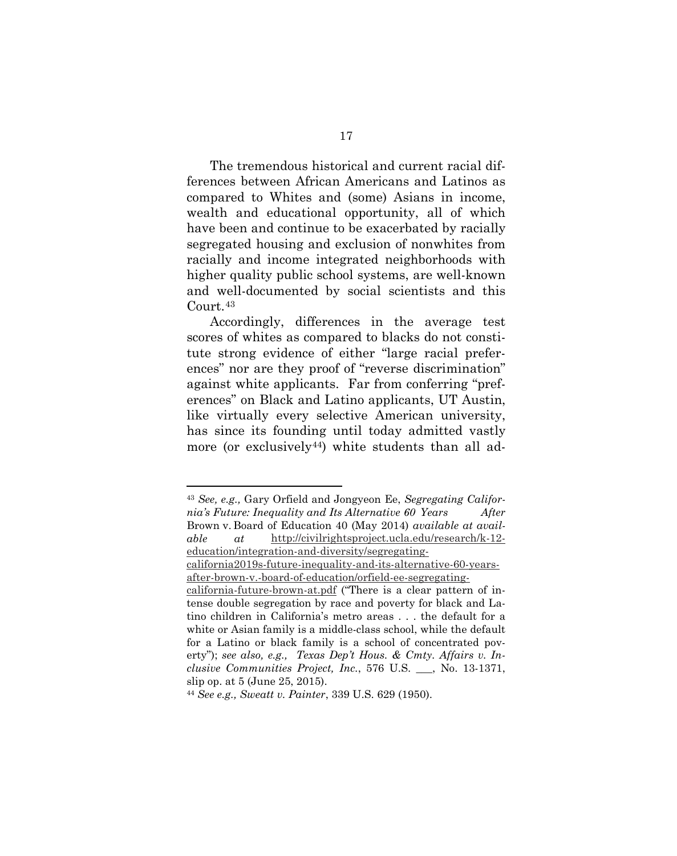The tremendous historical and current racial differences between African Americans and Latinos as compared to Whites and (some) Asians in income, wealth and educational opportunity, all of which have been and continue to be exacerbated by racially segregated housing and exclusion of nonwhites from racially and income integrated neighborhoods with higher quality public school systems, are well-known and well-documented by social scientists and this Court.[43](#page-26-2)

Accordingly, differences in the average test scores of whites as compared to blacks do not constitute strong evidence of either "large racial preferences" nor are they proof of "reverse discrimination" against white applicants. Far from conferring "preferences" on Black and Latino applicants, UT Austin, like virtually every selective American university, has since its founding until today admitted vastly more (or exclusively<sup>[44](#page-27-0)</sup>) white students than all ad-

<span id="page-27-1"></span><sup>43</sup> *See, e.g.,* Gary Orfield and Jongyeon Ee, *Segregating California's Future: Inequality and Its Alternative 60 Years After*  Brown v. Board of Education 40 (May 2014) *available at available at* [http://civilrightsproject.ucla.edu/research/k-12](http://civilrightsproject.ucla.edu/research/k-12-education/integration-and-diversity/segregating-california2019s-future-inequality-and-its-alternative-60-years-after-brown-v.-board-of-education/orfield-ee-segregating-california-future-brown-at.pdf) [education/integration-and-diversity/segregating](http://civilrightsproject.ucla.edu/research/k-12-education/integration-and-diversity/segregating-california2019s-future-inequality-and-its-alternative-60-years-after-brown-v.-board-of-education/orfield-ee-segregating-california-future-brown-at.pdf)[california2019s-future-inequality-and-its-alternative-60-years](http://civilrightsproject.ucla.edu/research/k-12-education/integration-and-diversity/segregating-california2019s-future-inequality-and-its-alternative-60-years-after-brown-v.-board-of-education/orfield-ee-segregating-california-future-brown-at.pdf)[after-brown-v.-board-of-education/orfield-ee-segregating](http://civilrightsproject.ucla.edu/research/k-12-education/integration-and-diversity/segregating-california2019s-future-inequality-and-its-alternative-60-years-after-brown-v.-board-of-education/orfield-ee-segregating-california-future-brown-at.pdf)[california-future-brown-at.pdf](http://civilrightsproject.ucla.edu/research/k-12-education/integration-and-diversity/segregating-california2019s-future-inequality-and-its-alternative-60-years-after-brown-v.-board-of-education/orfield-ee-segregating-california-future-brown-at.pdf) ("There is a clear pattern of intense double segregation by race and poverty for black and Latino children in California's metro areas . . . the default for a white or Asian family is a middle-class school, while the default for a Latino or black family is a school of concentrated poverty"); *see also, e.g., Texas Dep't Hous. & Cmty. Affairs v. Inclusive Communities Project, Inc.*, 576 U.S. \_\_\_, No. 13-1371, slip op. at 5 (June 25, 2015).

<span id="page-27-0"></span><sup>44</sup> *See e.g., Sweatt v. Painter*, 339 U.S. 629 (1950).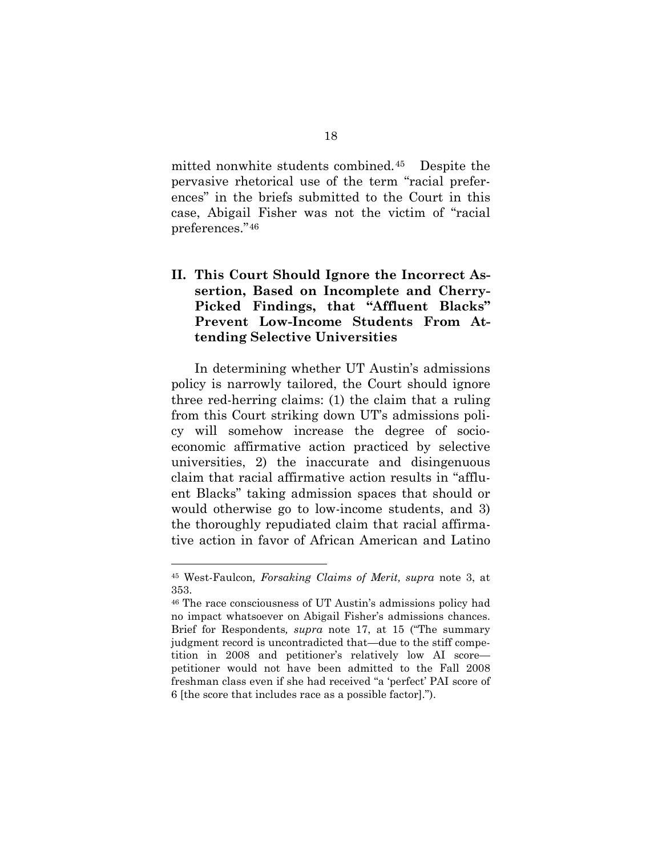mitted nonwhite students combined.[45](#page-27-1) Despite the pervasive rhetorical use of the term "racial preferences" in the briefs submitted to the Court in this case, Abigail Fisher was not the victim of "racial preferences."[46](#page-28-0) 

### **II. This Court Should Ignore the Incorrect Assertion, Based on Incomplete and Cherry-Picked Findings, that "Affluent Blacks" Prevent Low-Income Students From Attending Selective Universities**

In determining whether UT Austin's admissions policy is narrowly tailored, the Court should ignore three red-herring claims: (1) the claim that a ruling from this Court striking down UT's admissions policy will somehow increase the degree of socioeconomic affirmative action practiced by selective universities, 2) the inaccurate and disingenuous claim that racial affirmative action results in "affluent Blacks" taking admission spaces that should or would otherwise go to low-income students, and 3) the thoroughly repudiated claim that racial affirmative action in favor of African American and Latino

<sup>45</sup> West-Faulcon*, Forsaking Claims of Merit, supra* note 3, at 353.

<span id="page-28-1"></span><span id="page-28-0"></span><sup>46</sup> The race consciousness of UT Austin's admissions policy had no impact whatsoever on Abigail Fisher's admissions chances. Brief for Respondents*, supra* note 17, at 15 ("The summary judgment record is uncontradicted that—due to the stiff competition in 2008 and petitioner's relatively low AI score petitioner would not have been admitted to the Fall 2008 freshman class even if she had received "a 'perfect' PAI score of 6 [the score that includes race as a possible factor].").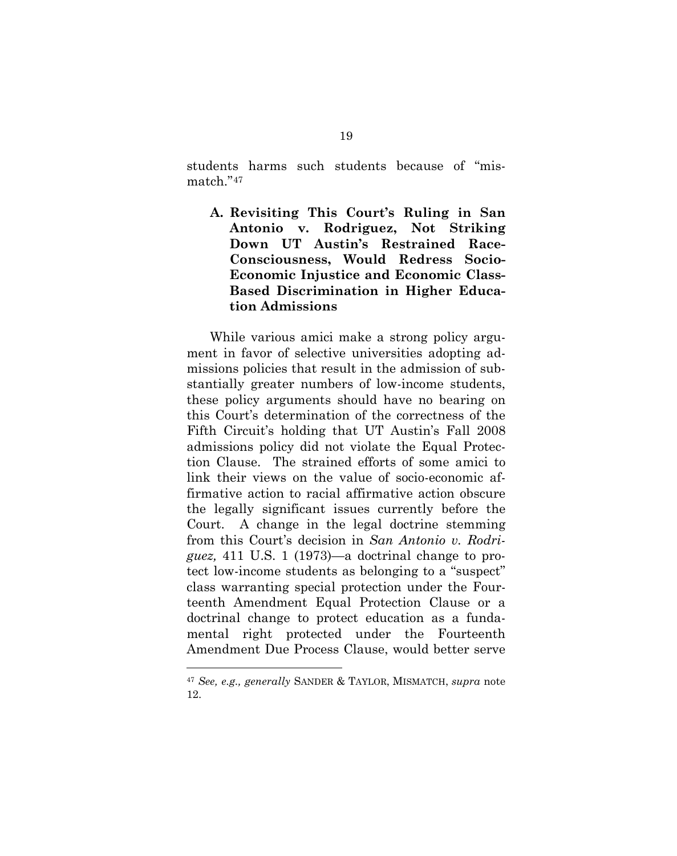students harms such students because of "mismatch."[47](#page-28-1) 

**A. Revisiting This Court's Ruling in San Antonio v. Rodriguez, Not Striking Down UT Austin's Restrained Race-Consciousness, Would Redress Socio-Economic Injustice and Economic Class-Based Discrimination in Higher Education Admissions** 

While various amici make a strong policy argument in favor of selective universities adopting admissions policies that result in the admission of substantially greater numbers of low-income students, these policy arguments should have no bearing on this Court's determination of the correctness of the Fifth Circuit's holding that UT Austin's Fall 2008 admissions policy did not violate the Equal Protection Clause. The strained efforts of some amici to link their views on the value of socio-economic affirmative action to racial affirmative action obscure the legally significant issues currently before the Court. A change in the legal doctrine stemming from this Court's decision in *San Antonio v. Rodriguez,* 411 U.S. 1 (1973)—a doctrinal change to protect low-income students as belonging to a "suspect" class warranting special protection under the Fourteenth Amendment Equal Protection Clause or a doctrinal change to protect education as a fundamental right protected under the Fourteenth Amendment Due Process Clause, would better serve

<span id="page-29-0"></span><sup>47</sup> *See, e.g., generally* SANDER & TAYLOR, MISMATCH, *supra* note 12.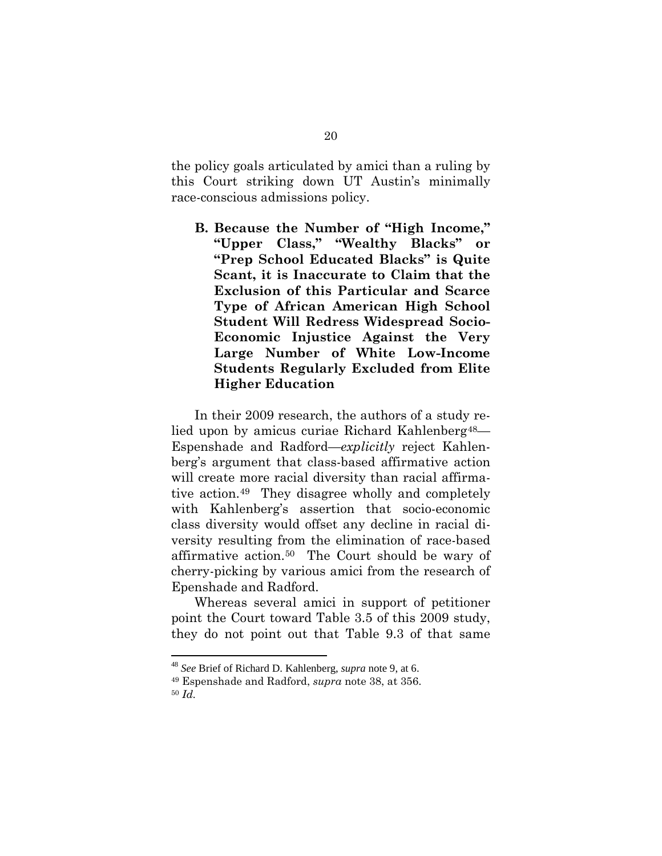the policy goals articulated by amici than a ruling by this Court striking down UT Austin's minimally race-conscious admissions policy.

**B. Because the Number of "High Income," "Upper Class," "Wealthy Blacks" or "Prep School Educated Blacks" is Quite Scant, it is Inaccurate to Claim that the Exclusion of this Particular and Scarce Type of African American High School Student Will Redress Widespread Socio-Economic Injustice Against the Very Large Number of White Low-Income Students Regularly Excluded from Elite Higher Education** 

In their 2009 research, the authors of a study relied upon by amicus curiae Richard Kahlenberg<sup>48</sup>— Espenshade and Radford—*explicitly* reject Kahlenberg's argument that class-based affirmative action will create more racial diversity than racial affirmative action.[49](#page-30-0) They disagree wholly and completely with Kahlenberg's assertion that socio-economic class diversity would offset any decline in racial diversity resulting from the elimination of race-based affirmative action.[50](#page-30-1) The Court should be wary of cherry-picking by various amici from the research of Epenshade and Radford.

Whereas several amici in support of petitioner point the Court toward Table 3.5 of this 2009 study, they do not point out that Table 9.3 of that same

<span id="page-30-2"></span> <sup>48</sup> *See* Brief of Richard D. Kahlenberg, *supra* note 9, at 6.

<span id="page-30-1"></span><span id="page-30-0"></span><sup>49</sup> Espenshade and Radford, *supra* note 38, at 356.

<sup>50</sup> *Id.*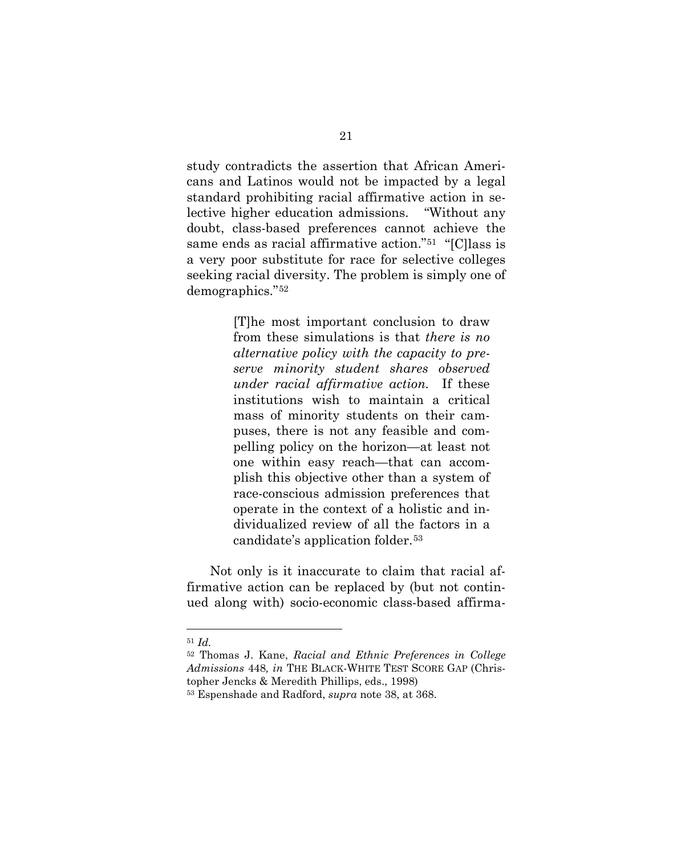study contradicts the assertion that African Americans and Latinos would not be impacted by a legal standard prohibiting racial affirmative action in selective higher education admissions. "Without any doubt, class-based preferences cannot achieve the same ends as racial affirmative action."[51](#page-30-2) "[C]lass is a very poor substitute for race for selective colleges seeking racial diversity. The problem is simply one of demographics."[52](#page-31-0)

> [T]he most important conclusion to draw from these simulations is that *there is no alternative policy with the capacity to preserve minority student shares observed under racial affirmative action.* If these institutions wish to maintain a critical mass of minority students on their campuses, there is not any feasible and compelling policy on the horizon—at least not one within easy reach—that can accomplish this objective other than a system of race-conscious admission preferences that operate in the context of a holistic and individualized review of all the factors in a candidate's application folder.[53](#page-31-1)

<span id="page-31-2"></span>Not only is it inaccurate to claim that racial affirmative action can be replaced by (but not continued along with) socio-economic class-based affirma-

<sup>51</sup> *Id.*

<span id="page-31-0"></span><sup>52</sup> Thomas J. Kane, *Racial and Ethnic Preferences in College Admissions* 448*, in* THE BLACK-WHITE TEST SCORE GAP (Christopher Jencks & Meredith Phillips, eds., 1998)

<span id="page-31-1"></span><sup>53</sup> Espenshade and Radford, *supra* note 38, at 368.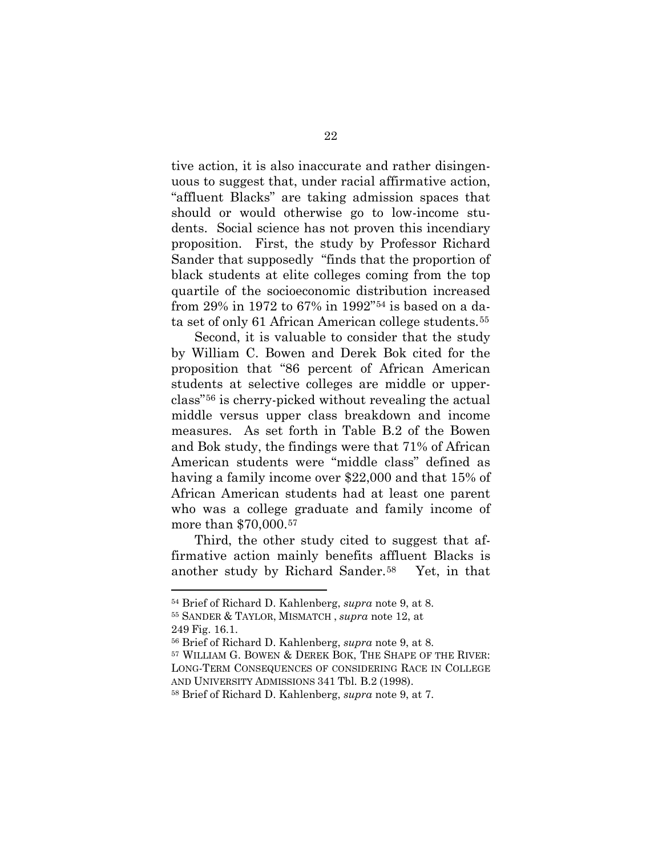tive action, it is also inaccurate and rather disingenuous to suggest that, under racial affirmative action, "affluent Blacks" are taking admission spaces that should or would otherwise go to low-income students. Social science has not proven this incendiary proposition. First, the study by Professor Richard Sander that supposedly "finds that the proportion of black students at elite colleges coming from the top quartile of the socioeconomic distribution increased from 29% in 1972 to 67% in 1992"[54](#page-31-2) is based on a data set of only 61 African American college students.[55](#page-32-0) 

Second, it is valuable to consider that the study by William C. Bowen and Derek Bok cited for the proposition that "86 percent of African American students at selective colleges are middle or upperclass"[56](#page-32-1) is cherry-picked without revealing the actual middle versus upper class breakdown and income measures. As set forth in Table B.2 of the Bowen and Bok study, the findings were that 71% of African American students were "middle class" defined as having a family income over \$22,000 and that 15% of African American students had at least one parent who was a college graduate and family income of more than \$70,000.[57](#page-32-2)

<span id="page-32-4"></span>Third, the other study cited to suggest that affirmative action mainly benefits affluent Blacks is another study by Richard Sander.[58](#page-32-3) Yet, in that

<span id="page-32-0"></span><sup>54</sup> Brief of Richard D. Kahlenberg, *supra* note 9, at 8. <sup>55</sup> SANDER & TAYLOR, MISMATCH , *supra* note 12, at

<sup>249</sup> Fig. 16.1. 56 Brief of Richard D. Kahlenberg, *supra* note 9, at 8.

<span id="page-32-2"></span><span id="page-32-1"></span><sup>57</sup> WILLIAM G. BOWEN & DEREK BOK, THE SHAPE OF THE RIVER: LONG-TERM CONSEQUENCES OF CONSIDERING RACE IN COLLEGE AND UNIVERSITY ADMISSIONS 341 Tbl. B.2 (1998).

<span id="page-32-3"></span><sup>58</sup> Brief of Richard D. Kahlenberg, *supra* note 9, at 7.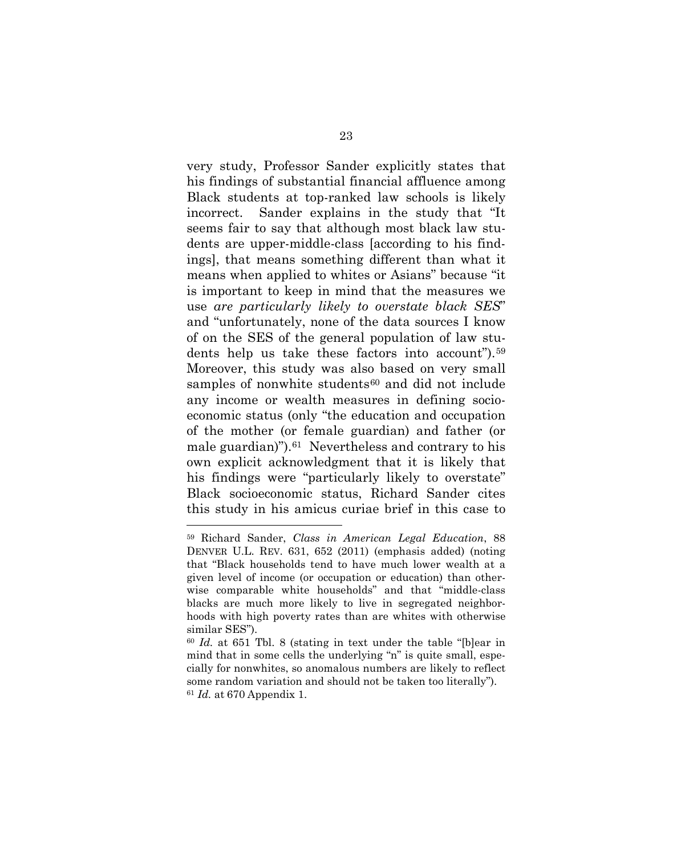very study, Professor Sander explicitly states that his findings of substantial financial affluence among Black students at top-ranked law schools is likely incorrect. Sander explains in the study that "It seems fair to say that although most black law students are upper-middle-class [according to his findings], that means something different than what it means when applied to whites or Asians" because "it is important to keep in mind that the measures we use *are particularly likely to overstate black SES*" and "unfortunately, none of the data sources I know of on the SES of the general population of law students help us take these factors into account").[59](#page-32-4) Moreover, this study was also based on very small samples of nonwhite students<sup>[60](#page-33-0)</sup> and did not include any income or wealth measures in defining socioeconomic status (only "the education and occupation of the mother (or female guardian) and father (or male guardian)").[61](#page-33-1) Nevertheless and contrary to his own explicit acknowledgment that it is likely that his findings were "particularly likely to overstate" Black socioeconomic status, Richard Sander cites this study in his amicus curiae brief in this case to

<span id="page-33-2"></span><sup>59</sup> Richard Sander, *Class in American Legal Education*, 88 DENVER U.L. REV. 631, 652 (2011) (emphasis added) (noting that "Black households tend to have much lower wealth at a given level of income (or occupation or education) than otherwise comparable white households" and that "middle-class blacks are much more likely to live in segregated neighborhoods with high poverty rates than are whites with otherwise similar SES").

<span id="page-33-1"></span><span id="page-33-0"></span><sup>60</sup> *Id.* at 651 Tbl. 8 (stating in text under the table "[b]ear in mind that in some cells the underlying "n" is quite small, especially for nonwhites, so anomalous numbers are likely to reflect some random variation and should not be taken too literally"). <sup>61</sup> *Id.* at 670 Appendix 1.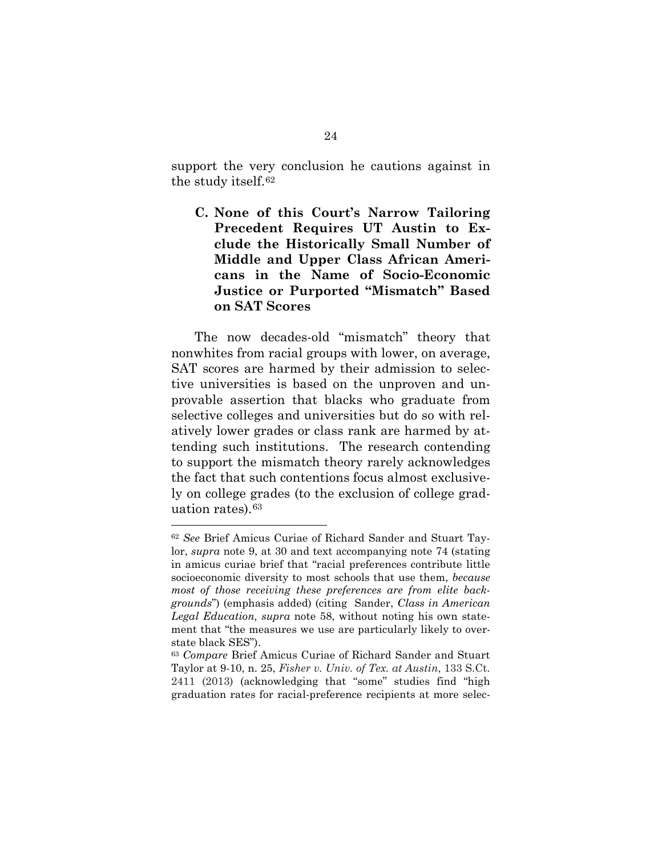support the very conclusion he cautions against in the study itself.[62](#page-33-2)

**C. None of this Court's Narrow Tailoring Precedent Requires UT Austin to Exclude the Historically Small Number of Middle and Upper Class African Americans in the Name of Socio-Economic Justice or Purported "Mismatch" Based on SAT Scores**

The now decades-old "mismatch" theory that nonwhites from racial groups with lower, on average, SAT scores are harmed by their admission to selective universities is based on the unproven and unprovable assertion that blacks who graduate from selective colleges and universities but do so with relatively lower grades or class rank are harmed by attending such institutions. The research contending to support the mismatch theory rarely acknowledges the fact that such contentions focus almost exclusively on college grades (to the exclusion of college graduation rates).[63](#page-34-1) 

<sup>62</sup> *See* Brief Amicus Curiae of Richard Sander and Stuart Taylor, *supra* note 9, at 30 and text accompanying note 74 (stating in amicus curiae brief that "racial preferences contribute little socioeconomic diversity to most schools that use them, *because most of those receiving these preferences are from elite backgrounds*") (emphasis added) (citing Sander, *Class in American Legal Education, supra* note 58, without noting his own statement that "the measures we use are particularly likely to overstate black SES").

<span id="page-34-2"></span><span id="page-34-1"></span><span id="page-34-0"></span><sup>63</sup> *Compare* Brief Amicus Curiae of Richard Sander and Stuart Taylor at 9-10, n. 25, *Fisher v. Univ. of Tex. at Austin*, 133 S.Ct. 2411 (2013) (acknowledging that "some" studies find "high graduation rates for racial-preference recipients at more selec-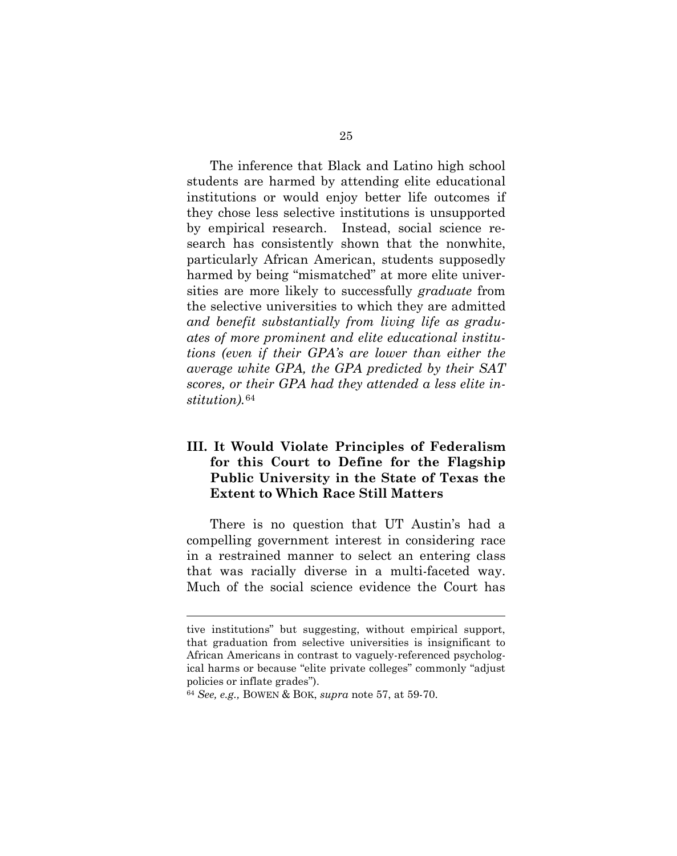The inference that Black and Latino high school students are harmed by attending elite educational institutions or would enjoy better life outcomes if they chose less selective institutions is unsupported by empirical research. Instead, social science research has consistently shown that the nonwhite, particularly African American, students supposedly harmed by being "mismatched" at more elite universities are more likely to successfully *graduate* from the selective universities to which they are admitted *and benefit substantially from living life as graduates of more prominent and elite educational institutions (even if their GPA's are lower than either the average white GPA, the GPA predicted by their SAT scores, or their GPA had they attended a less elite institution).*[64](#page-34-2)

### **III. It Would Violate Principles of Federalism for this Court to Define for the Flagship Public University in the State of Texas the Extent to Which Race Still Matters**

There is no question that UT Austin's had a compelling government interest in considering race in a restrained manner to select an entering class that was racially diverse in a multi-faceted way. Much of the social science evidence the Court has

<span id="page-35-0"></span>tive institutions" but suggesting, without empirical support, that graduation from selective universities is insignificant to African Americans in contrast to vaguely-referenced psychological harms or because "elite private colleges" commonly "adjust policies or inflate grades").

<sup>64</sup> *See, e.g.,* BOWEN & BOK, *supra* note 57, at 59-70.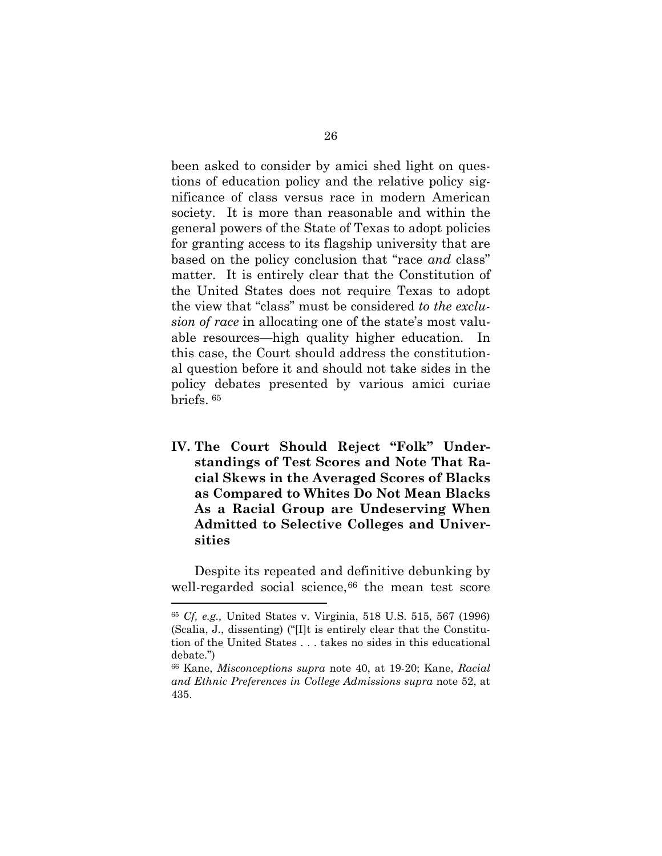been asked to consider by amici shed light on questions of education policy and the relative policy significance of class versus race in modern American society. It is more than reasonable and within the general powers of the State of Texas to adopt policies for granting access to its flagship university that are based on the policy conclusion that "race *and* class" matter. It is entirely clear that the Constitution of the United States does not require Texas to adopt the view that "class" must be considered *to the exclusion of race* in allocating one of the state's most valuable resources—high quality higher education. In this case, the Court should address the constitutional question before it and should not take sides in the policy debates presented by various amici curiae briefs. [65](#page-35-0) 

**IV. The Court Should Reject "Folk" Understandings of Test Scores and Note That Racial Skews in the Averaged Scores of Blacks as Compared to Whites Do Not Mean Blacks As a Racial Group are Undeserving When Admitted to Selective Colleges and Universities**

<span id="page-36-1"></span>Despite its repeated and definitive debunking by well-regarded social science, $66$  the mean test score

<sup>65</sup> *Cf, e.g.,* United States v. Virginia, 518 U.S. 515, 567 (1996) (Scalia, J., dissenting) ("[I]t is entirely clear that the Constitution of the United States . . . takes no sides in this educational debate.")

<span id="page-36-0"></span><sup>66</sup> Kane, *Misconceptions supra* note 40, at 19-20; Kane, *Racial and Ethnic Preferences in College Admissions supra* note 52, at 435.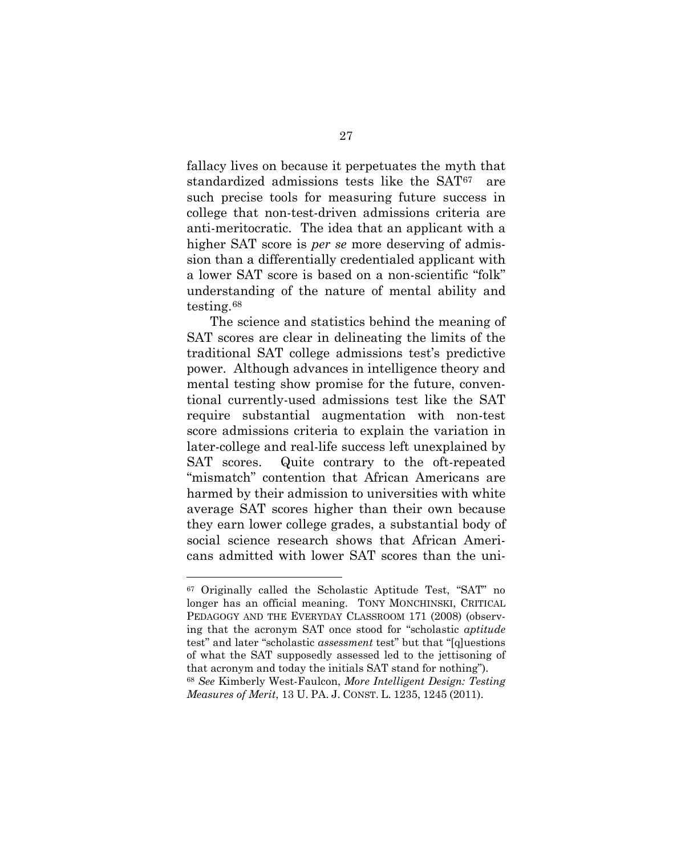fallacy lives on because it perpetuates the myth that standardized admissions tests like the SAT[67](#page-36-1) are such precise tools for measuring future success in college that non-test-driven admissions criteria are anti-meritocratic. The idea that an applicant with a higher SAT score is *per se* more deserving of admission than a differentially credentialed applicant with a lower SAT score is based on a non-scientific "folk" understanding of the nature of mental ability and testing.[68](#page-37-0)

The science and statistics behind the meaning of SAT scores are clear in delineating the limits of the traditional SAT college admissions test's predictive power. Although advances in intelligence theory and mental testing show promise for the future, conventional currently-used admissions test like the SAT require substantial augmentation with non-test score admissions criteria to explain the variation in later-college and real-life success left unexplained by SAT scores. Quite contrary to the oft-repeated "mismatch" contention that African Americans are harmed by their admission to universities with white average SAT scores higher than their own because they earn lower college grades, a substantial body of social science research shows that African Americans admitted with lower SAT scores than the uni-

<span id="page-37-1"></span><span id="page-37-0"></span><sup>67</sup> Originally called the Scholastic Aptitude Test, "SAT" no longer has an official meaning. TONY MONCHINSKI, CRITICAL PEDAGOGY AND THE EVERYDAY CLASSROOM 171 (2008) (observing that the acronym SAT once stood for "scholastic *aptitude*  test" and later "scholastic *assessment* test" but that "[q]uestions of what the SAT supposedly assessed led to the jettisoning of that acronym and today the initials SAT stand for nothing"). <sup>68</sup> *See* Kimberly West-Faulcon, *More Intelligent Design: Testing Measures of Merit*, 13 U. PA. J. CONST. L. 1235, 1245 (2011).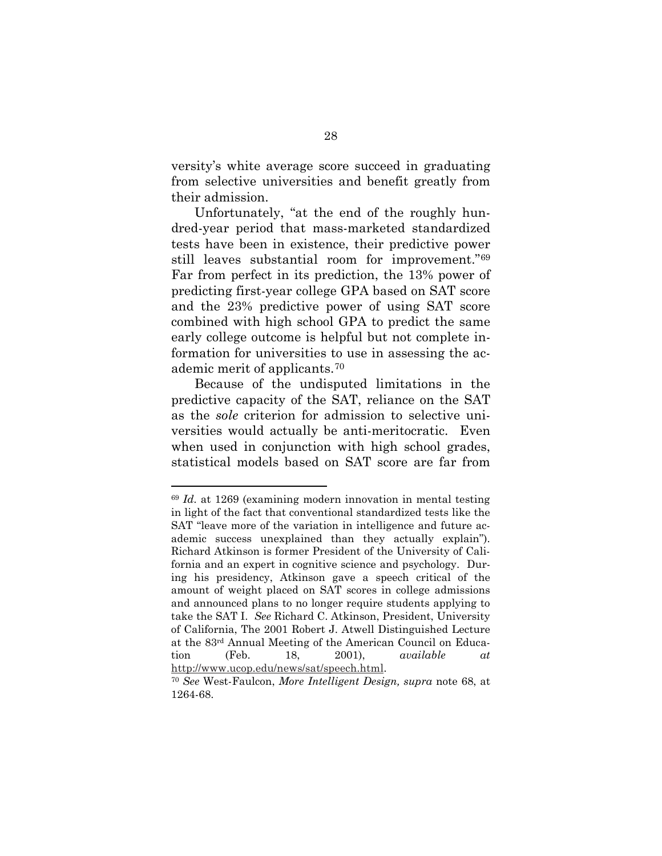versity's white average score succeed in graduating from selective universities and benefit greatly from their admission.

Unfortunately, "at the end of the roughly hundred-year period that mass-marketed standardized tests have been in existence, their predictive power still leaves substantial room for improvement."[69](#page-37-1)  Far from perfect in its prediction, the 13% power of predicting first-year college GPA based on SAT score and the 23% predictive power of using SAT score combined with high school GPA to predict the same early college outcome is helpful but not complete information for universities to use in assessing the academic merit of applicants.[70](#page-38-0)

Because of the undisputed limitations in the predictive capacity of the SAT, reliance on the SAT as the *sole* criterion for admission to selective universities would actually be anti-meritocratic. Even when used in conjunction with high school grades, statistical models based on SAT score are far from

<sup>69</sup> *Id.* at 1269 (examining modern innovation in mental testing in light of the fact that conventional standardized tests like the SAT "leave more of the variation in intelligence and future academic success unexplained than they actually explain"). Richard Atkinson is former President of the University of California and an expert in cognitive science and psychology. During his presidency, Atkinson gave a speech critical of the amount of weight placed on SAT scores in college admissions and announced plans to no longer require students applying to take the SAT I. *See* Richard C. Atkinson, President, University of California, The 2001 Robert J. Atwell Distinguished Lecture at the 83rd Annual Meeting of the American Council on Education (Feb. 18, 2001), *available at* 

<span id="page-38-1"></span><span id="page-38-0"></span>[http://www.ucop.edu/news/sat/speech.html.](http://www.ucop.edu/news/sat/speech.html) 70 *See* West-Faulcon, *More Intelligent Design, supra* note 68, at 1264-68.